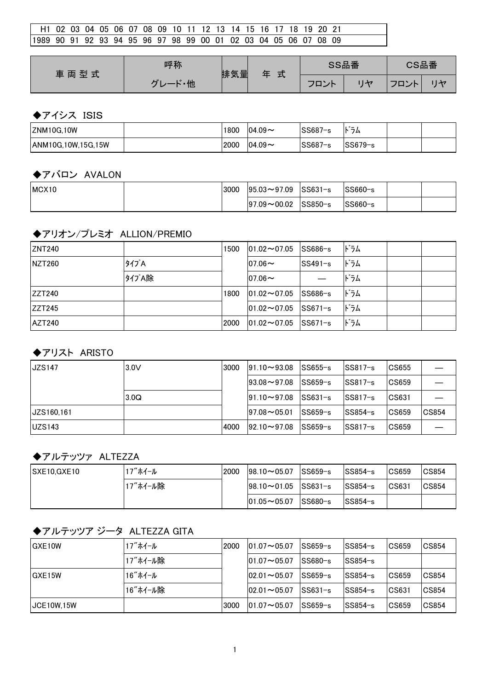| H1 02 03 04 05 06 07 08 09 10 11 12 13 14 15 16 17 18 19 20 21    |  |  |  |  |  |  |  |  |  |  |  |
|-------------------------------------------------------------------|--|--|--|--|--|--|--|--|--|--|--|
| 11989 90 91 92 93 94 95 96 97 98 99 00 01 02 03 04 05 06 07 08 09 |  |  |  |  |  |  |  |  |  |  |  |

| 車両型式 | 呼称                        | 排気量 | 式<br>缶 | SS品番 |   | CS品番                                       |       |
|------|---------------------------|-----|--------|------|---|--------------------------------------------|-------|
|      | ・他<br>$\mathbf{I}$<br>. . |     |        | フロント | H | $\neg$ nn<br>$\overline{\phantom{a}}$<br>- | رہے ا |

#### ◆アイシス ISIS

| <b>ZNM10G.10W</b>          | 1800 | $104.09$ $\sim$ | SS687<br>$1 - c$ | .<br>フム<br>- |  |
|----------------------------|------|-----------------|------------------|--------------|--|
| <b>JANM10G.10W.15G.15W</b> | 2000 | $104.09$ $\sim$ | SS687<br>$1 - c$ | $SS679-s$    |  |

#### ◆アバロン AVALON

| MCX <sub>10</sub> | 3000 | $ 95.03 \rightarrow 97.09$ | $\textcolor{blue}{\text{SS}631-s}$ | SS660-s |  |
|-------------------|------|----------------------------|------------------------------------|---------|--|
|                   |      | $ 97.09\sim00.02 $         | SS850−s                            | SS660-s |  |

## ◆アリオン/プレミオ ALLION/PREMIO

| <b>ZNT240</b>  |      | 1500 | $ 01.02 \rightarrow 07.05$ | $SS686-s$ | ドラム |  |
|----------------|------|------|----------------------------|-----------|-----|--|
| <b>NZT260</b>  | タイプA |      | $ 07.06\sim$               | SS491-s   | ドラム |  |
|                | 外プA除 |      | $ 07.06\sim$               |           | ドラム |  |
| <b>IZZT240</b> |      | 1800 | $ 01.02\sim 07.05 $        | $SS686-s$ | ドラム |  |
| ZZT245         |      |      | $01.02 - 07.05$            | $SS671-s$ | ドラム |  |
| <b>AZT240</b>  |      | 2000 | $ 01.02 \rightarrow 07.05$ | $SS671-s$ | ドラム |  |

#### ◆アリスト ARISTO

| <b>JZS147</b>     | 3.0V | 3000 | $ 91.10 \rightarrow 93.08$   | $ SS655-s $   | $SS817-s$ | CS655           |              |
|-------------------|------|------|------------------------------|---------------|-----------|-----------------|--------------|
|                   |      |      | $193.08 - 97.08$             | $ SS659-s $   | SS817−s   | $ CS659\rangle$ |              |
|                   | 3.0Q |      | $191.10 \rightarrow 97.08$   | $ SS631 - s $ | $SS817-s$ | CS631           |              |
| <b>JZS160.161</b> |      |      | $197.08 \!\thicksim\! 05.01$ | $ SS659-s $   | lSS854−s  | CS659           | <b>CS854</b> |
| <b>UZS143</b>     |      | 4000 | $ 92.10 \rightarrow 97.08$   | $ SS659-s $   | SS817−s   | $ CS659\rangle$ |              |

## ◆アルテッツァ ALTEZZA

| SXE10, GXE10 | 17″ホイール  | 2000 | $198.10 \sim 05.07$ |                                       | $ SS854-s $                            | <b>CS659</b> | <b>CS854</b> |
|--------------|----------|------|---------------------|---------------------------------------|----------------------------------------|--------------|--------------|
|              | 17"ホイール除 |      | $ 98.10 \sim 01.05$ | $\textcolor{blue}{\textsf{ISS631-s}}$ | $SS854-s$                              | CS631        | CS854        |
|              |          |      | $ 01.05 \sim 05.07$ | ISS680−s                              | $\textcolor{blue}{\textsf{ISS854--s}}$ |              |              |

## ◆アルテッツア ジータ ALTEZZA GITA

| <b>GXE10W</b>     | 17"ホイール  | 2000 | $101.07 \sim 05.07$        | ISS659−s    | ISS854−s    | $\textcolor{red}{\mathsf{CS659}}$ | <b>CS854</b> |
|-------------------|----------|------|----------------------------|-------------|-------------|-----------------------------------|--------------|
|                   | 17"ホイール除 |      | $ 01.07 \rightarrow 05.07$ | SS680-s     | lSS854−s    |                                   |              |
| GXE15W            | 16"ホイール  |      | $102.01 \sim 05.07$        | ISS659−s    | lSS854−s    | $\textcolor{red}{\mathsf{CS659}}$ | <b>CS854</b> |
|                   | 16"ホイール除 |      | $102.01 \sim 05.07$        | $ SS631-s $ | ISS854−s    | CS631                             | <b>CS854</b> |
| <b>JCE10W.15W</b> |          | 3000 | $101.07 \rightarrow 05.07$ | lSS659−s    | $ SS854-s $ | $\textcolor{red}{\mathsf{CS659}}$ | <b>CS854</b> |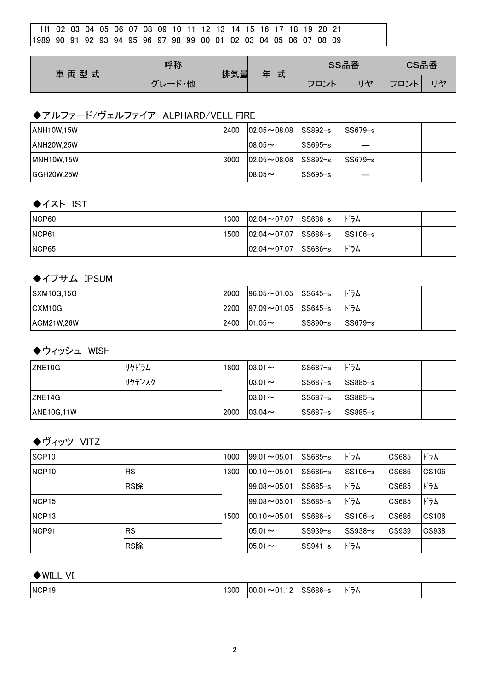| H1 02 03 04 05 06 07 08 09 10 11 12 13 14 15 16 17 18 19 20 21    |  |  |  |  |  |  |  |  |  |  |  |
|-------------------------------------------------------------------|--|--|--|--|--|--|--|--|--|--|--|
| 11989 90 91 92 93 94 95 96 97 98 99 00 01 02 03 04 05 06 07 08 09 |  |  |  |  |  |  |  |  |  |  |  |

| 車両型式 | 呼称                 | 排気量 | 式<br>玍 | SS品番 | CS品番          |  |
|------|--------------------|-----|--------|------|---------------|--|
|      | ・他<br>$\mathbf{r}$ |     |        | フロント | $\Box$<br>– ⊣ |  |

# ◆アルファード/ヴェルファイア ALPHARD/VELL FIRE

| <b>ANH10W.15W</b> | 2400 | $ 02.05 \sim 08.08$ $ SS892-s $ |             | $SS679-s$ |  |
|-------------------|------|---------------------------------|-------------|-----------|--|
| <b>ANH20W.25W</b> |      | $08.05 \sim$                    | $SS695-s$   |           |  |
| <b>MNH10W.15W</b> | 3000 | $102.05 \rightarrow 08.08$      | $ SS892-s $ | $SS679-s$ |  |
| <b>GGH20W.25W</b> |      | $108.05 \sim$                   | $SS695-s$   |           |  |

#### ◆イスト IST

| NCP <sub>60</sub> | 1300 | $ 02.04 \sim 07.07 $ SS686-s | ドラム                 |  |
|-------------------|------|------------------------------|---------------------|--|
| INCP61            | 1500 | $ 02.04\sim 07.07 $ SS686-s  | $\textsf{ISS106-s}$ |  |
| INCP65            |      | $ 02.04 \sim 07.07 $ SS686-s | ドラム                 |  |

## ◆イプサム IPSUM

| <b>SXM10G.15G</b> | 2000 | $ 96.05 \sim 01.05$ SS645-s |          | ドラム         |  |
|-------------------|------|-----------------------------|----------|-------------|--|
| CXM10G            | 2200 | $ 97.09 \sim 01.05$ SS645-s |          | ドラム         |  |
| <b>ACM21W.26W</b> | 2400 | $ 01.05\sim$                | lSS890−s | $ SS679-s $ |  |

# ◆ウィッシュ WISH

| ZNE <sub>10G</sub> | リヤドラム  | 1800 | $ 03.01 \sim$ | $SS687-s$ | ドラム       |  |
|--------------------|--------|------|---------------|-----------|-----------|--|
|                    | リヤディスク |      | $ 03.01 -$    | $SS687-s$ | $SS885-s$ |  |
| ZNE14G             |        |      | $ 03.01 \sim$ | SS687-s   | $SS885-s$ |  |
| <b>ANE10G,11W</b>  |        | 2000 | $103.04 \sim$ | SS687-s   | $SS885-s$ |  |

# ◆ヴィッツ VITZ

| SCP <sub>10</sub> |           | 1000 | $99.01 - 05.01$ | $SS685-s$ | ドラム       | CS685                     | ドラム   |
|-------------------|-----------|------|-----------------|-----------|-----------|---------------------------|-------|
| NCP <sub>10</sub> | <b>RS</b> | 1300 | $00.10 - 05.01$ | $SS686-s$ | $SS106-s$ | $\overline{\text{CS686}}$ | CS106 |
|                   | RS除       |      | $99.08 - 05.01$ | $SS685-s$ | ドラム       | CS685                     | ドラム   |
| NCP <sub>15</sub> |           |      | $99.08 - 05.01$ | $SS685-s$ | ドラム       | CS685                     | ドラム   |
| NCP <sub>13</sub> |           | 1500 | $00.10 - 05.01$ | $SS686-s$ | $SS106-s$ | $\overline{\text{CS686}}$ | CS106 |
| NCP <sub>91</sub> | RS        |      | $05.01 -$       | $SS939-s$ | $SS938-s$ | CS939                     | CS938 |
|                   | RS除       |      | $05.01 -$       | $SS941-s$ | ドラム       |                           |       |

## ◆WILL VI

| .<br><b>NCP</b><br>- - -<br>300<br>nr<br>מר-<br>-<br>n-<br>۱ŏ<br>P.<br>74<br>ាកស |
|----------------------------------------------------------------------------------|
|----------------------------------------------------------------------------------|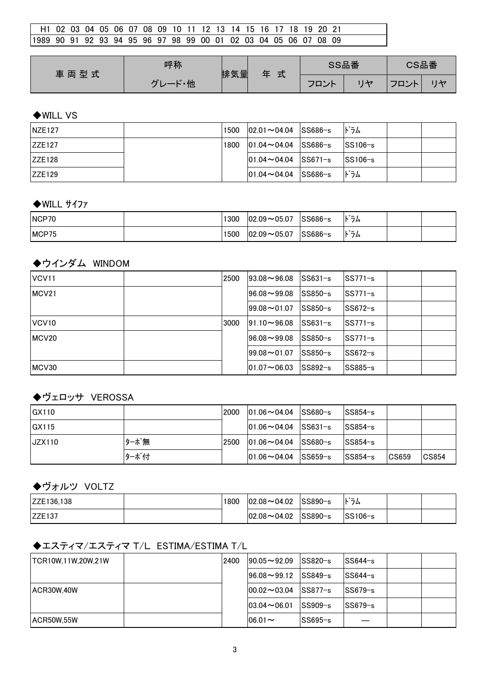| H1 02 03 04 05 06 07 08 09 10 11 12 13 14 15 16 17 18 19 20 21    |  |  |  |  |  |  |  |  |  |  |  |
|-------------------------------------------------------------------|--|--|--|--|--|--|--|--|--|--|--|
| 11989 90 91 92 93 94 95 96 97 98 99 00 01 02 03 04 05 06 07 08 09 |  |  |  |  |  |  |  |  |  |  |  |

| 車両型式 | 呼称                 | 排気量 | 式<br>玍 | SS品番 |              | CS品番      |         |
|------|--------------------|-----|--------|------|--------------|-----------|---------|
|      | ・他<br>$\mathbf{r}$ |     |        | フロント | $H_{\rm{H}}$ | コロント<br>ᆜ | $1 + 7$ |

#### ◆WILL VS

| <b>NZE127</b> | 1500 | $ 02.01 \sim 04.04$ SS686-s | ドラム                 |  |
|---------------|------|-----------------------------|---------------------|--|
| <b>ZZE127</b> | 1800 | $ 01.04\sim 04.04$ SS686-s  | $\textsf{ISS106-s}$ |  |
| ZZE128        |      | $ 01.04 \sim 04.04$ SS671-s | $\textsf{ISS106-s}$ |  |
| IZZE129       |      | $ 01.04 \sim 04.04$ SS686-s | ドラム                 |  |

#### ◆WILL サイファ

| NCP <sub>70</sub> | 1300 | $ 02.09\sim05.07$   | SS686-s | $\cdot$ $\cdot$ $-$<br>フム<br>P. |  |
|-------------------|------|---------------------|---------|---------------------------------|--|
| MCP <sub>75</sub> | 1500 | $ 02.09 \sim 05.07$ | SS686-s | $\cdot$ $\cdot$ $-$<br>フム<br>N  |  |

### ◆ウインダム WINDOM

| VCV <sub>11</sub> | 2500 | $ 93.08\!\sim\!96.08 $              | lSS631−s  | SS771−s     |  |
|-------------------|------|-------------------------------------|-----------|-------------|--|
| MCV21             |      | $96.08 - 99.08$                     | $SS850-s$ | lSS771−s    |  |
|                   |      | $99.08 - 01.07$                     | lSS850−s  | lSS672−s    |  |
| VCV <sub>10</sub> | 3000 | $191.10 \rightarrow 96.08$          | lSS631−s  | $ SS771-s $ |  |
| MCV <sub>20</sub> |      | $96.08 - 99.08$                     | lSS850−s  | $ SS771-s $ |  |
|                   |      | $ 99.08\!\sim\!01.07$               | $SS850-s$ | lSS672−s    |  |
| MCV30             |      | $ 01.07\textcolor{red}{\sim}06.03 $ | $SS892-s$ | $SS885-s$   |  |

## ◆ヴェロッサ VEROSSA

| <b>IGX110</b> |      | 2000 | $101.06 \sim 04.04$ | $SS680-s$                            | $SS854-s$ |       |       |
|---------------|------|------|---------------------|--------------------------------------|-----------|-------|-------|
| <b>GX115</b>  |      |      | $101.06 \sim 04.04$ | $ SS631-s $                          | $SS854-s$ |       |       |
| JZX110        | ターボ無 | 2500 | $101.06 \sim 04.04$ | $\textcolor{blue}{\textsf{SS680-s}}$ | $SS854-s$ |       |       |
|               | ターボ付 |      | $101.06 \sim 04.04$ | $ SS659-s $                          | $SS854-s$ | CS659 | CS854 |

## ◆ヴォルツ VOLTZ

| <b>IZZE136.138</b> | 1800 | $ 02.08 \sim 04.02$ | SS890-s | $\cdot$ $\cdot$ $-$<br>フム<br>IN. |  |
|--------------------|------|---------------------|---------|----------------------------------|--|
| <b>IZZE137</b>     |      | $ 02.08 \sim 04.02$ | SS890-s | $ SS106-s $                      |  |

## ◆エスティマ/エスティマ T/L ESTIMA/ESTIMA T/L

| TCR10W,11W,20W,21W | 2400 | $ 90.05 \sim 92.09$        | $ SS820-s $ | $ SS644-s $ |  |
|--------------------|------|----------------------------|-------------|-------------|--|
|                    |      | $196.08 \rightarrow 99.12$ | $ SS849-s $ | $ SS644-s $ |  |
| ACR30W.40W         |      | $100.02 - 03.04$           | $ SS877-s $ | lSS679−s    |  |
|                    |      | $103.04 \sim 06.01$        | $SS909-s$   | $SS679-s$   |  |
| IACR50W.55W        |      | $06.01 -$                  | SS695-s     |             |  |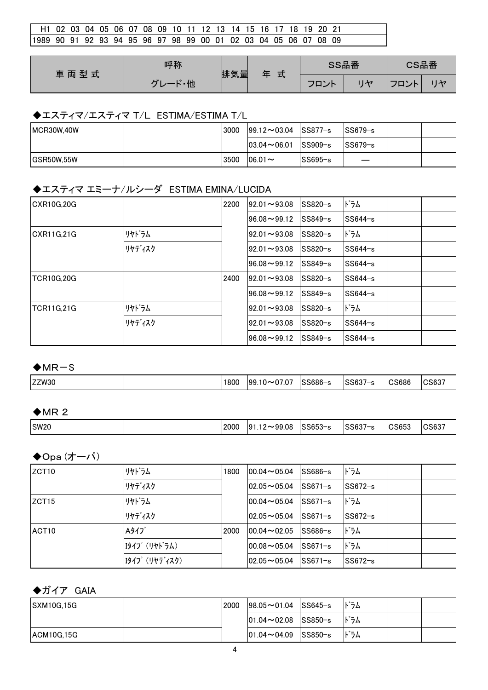| H1 02 03 04 05 06 07 08 09 10 11 12 13 14 15 16 17 18 19 20 21    |  |  |  |  |  |  |  |  |  |  |
|-------------------------------------------------------------------|--|--|--|--|--|--|--|--|--|--|
| 11989 90 91 92 93 94 95 96 97 98 99 00 01 02 03 04 05 06 07 08 09 |  |  |  |  |  |  |  |  |  |  |

| 車両型式 | 呼称                 | 排気量 | 式<br>玍 | SS品番 | CS品番 |          |
|------|--------------------|-----|--------|------|------|----------|
|      | $\mathbf{r}$<br>・他 |     |        | フロント | フロント | $11 + 7$ |

## ◆エスティマ/エスティマ T/L ESTIMA/ESTIMA T/L

| MCR30W.40W  | 3000 | $ 99.12 \sim 03.04$ | SS877−s     | ISS679−s    |  |
|-------------|------|---------------------|-------------|-------------|--|
|             |      | $ 03.04 \sim 06.01$ | $ SS909-s $ | $ SS679-s $ |  |
| IGSR50W.55W | 3500 | $06.01 -$           | lSS695−s    |             |  |

# ◆エスティマ エミーナ/ルシーダ ESTIMA EMINA/LUCIDA

| CXR10G.20G         |        | 2200 | $92.01 - 93.08$           | SS820-s   | ドラム     |  |
|--------------------|--------|------|---------------------------|-----------|---------|--|
|                    |        |      | $96.08 - 99.12$           | $SS849-s$ | SS644-s |  |
| CXR11G,21G         | リヤドラム  |      | $92.01 - 93.08$           | $SS820-s$ | ドラム     |  |
|                    | リヤディスク |      | $92.01 \rightarrow 93.08$ | $SS820-s$ | SS644-s |  |
|                    |        |      | $96.08 - 99.12$           | $SS849-s$ | SS644-s |  |
| <b>TCR10G.20G</b>  |        | 2400 | $92.01 - 93.08$           | $SS820-s$ | SS644-s |  |
|                    |        |      | $96.08 - 99.12$           | $SS849-s$ | SS644-s |  |
| <b>ITCR11G.21G</b> | リヤドラム  |      | $92.01 \rightarrow 93.08$ | $SS820-s$ | ドラム     |  |
|                    | リヤディスク |      | $92.01 \rightarrow 93.08$ | $SS820-s$ | SS644-s |  |
|                    |        |      | $96.08 - 99.12$           | $SS849-s$ | SS644-s |  |

#### $+MR-S$

|  | ZZW30 | 800 | .07<br>99<br>$\overline{\phantom{a}}$<br>⊥∪∼ | $\sim$ $\sim$ $\sim$ | $0000 -$<br>$ \sim$<br>n. | OCCOC<br>วเวชผ | . וור |
|--|-------|-----|----------------------------------------------|----------------------|---------------------------|----------------|-------|
|--|-------|-----|----------------------------------------------|----------------------|---------------------------|----------------|-------|

#### $MR<sub>2</sub>$

|  | <b>SW20</b> |  | 2000 | 08.<br>۵۵.<br>$\overline{\phantom{a}}$<br>$\mathfrak{g}$<br>. లం | 00000<br>_აახხკ–ე | SS637<br>$ \sim$ | <b>OCCES</b><br>US035 | $\sim$<br>്ട്ടപ് |
|--|-------------|--|------|------------------------------------------------------------------|-------------------|------------------|-----------------------|------------------|
|--|-------------|--|------|------------------------------------------------------------------|-------------------|------------------|-----------------------|------------------|

#### ◆Opa (オーパ)

| IZCT10            | リヤドラム                | 1800 | $00.04 - 05.04$ | $SS686-s$ | ドラム      |  |
|-------------------|----------------------|------|-----------------|-----------|----------|--|
|                   | リヤディスク               |      | $02.05 - 05.04$ | $SS671-s$ | lSS672−s |  |
| ZCT <sub>15</sub> | リヤドラム                |      | $00.04 - 05.04$ | lSS671−s  | ドラム      |  |
|                   | リヤディスク               |      | $02.05 - 05.04$ | $SS671-s$ | SS672-s  |  |
| ACT <sub>10</sub> | Aタイプ                 | 2000 | $00.04 - 02.05$ | $SS686-s$ | ドラム      |  |
|                   | 【タイプ(リヤト゛ラム)         |      | $00.08 - 05.04$ | $SS671-s$ | ドラム      |  |
|                   | <b>Iタイプ (リヤディスク)</b> |      | $02.05 - 05.04$ | $SS671-s$ | SS672-s  |  |

## ◆ガイア GAIA

| <b>SXM10G.15G</b> | 2000 | $ 98.05 \sim 01.04$ SS645-s |         | ドラム |  |
|-------------------|------|-----------------------------|---------|-----|--|
|                   |      | $ 01.04 \sim 02.08$ SS850-s |         | ドラム |  |
| ACM10G,15G        |      | $ 01.04 \sim 04.09$         | SS850-s | ドラム |  |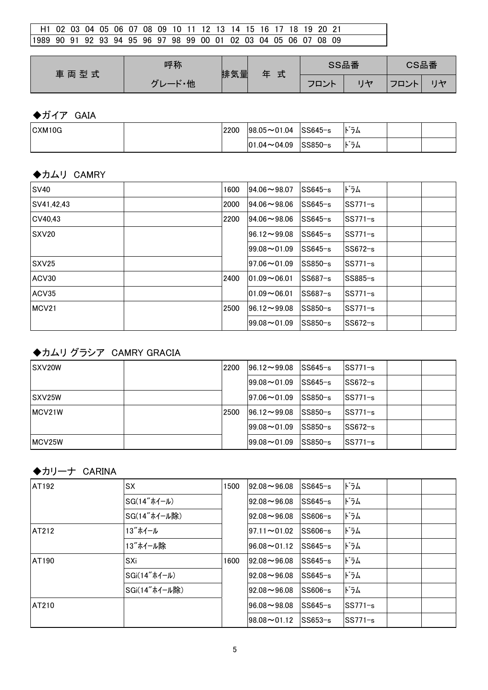| ι H1 O2 O3 O4 O5 O6 O7 O8 O9 10 11 12 13 14 15 16 17 18 19 20 21  |  |  |  |  |  |  |  |  |  |  |  |
|-------------------------------------------------------------------|--|--|--|--|--|--|--|--|--|--|--|
| 11989 90 91 92 93 94 95 96 97 98 99 00 01 02 03 04 05 06 07 08 09 |  |  |  |  |  |  |  |  |  |  |  |

| 車両型式 | 呼称                  | 排気量 | 式 | SS品番      | CS品番     |  |  |
|------|---------------------|-----|---|-----------|----------|--|--|
|      | - 他<br>$\mathbf{r}$ |     |   | フロン<br>ノト | ¬¬<br>ハト |  |  |

# ◆ガイア GAIA

| CXM10G | 2200 | $ 98.05 \sim 01.04$ | SS645−s     | $\cdots$<br>トフム                  |  |
|--------|------|---------------------|-------------|----------------------------------|--|
|        |      | $ 01.04 \sim 04.09$ | $ SS850-s $ | $\cdot$ $\cdot$ $-$<br>フム<br>IN. |  |

#### ◆カムリ CAMRY

| <b>SV40</b>       | 1600 | $94.06 \sim 98.07$        | $SS645-s$ | ドラム       |  |
|-------------------|------|---------------------------|-----------|-----------|--|
| SV41,42,43        | 2000 | $94.06 - 98.06$           | $SS645-s$ | $SS771-s$ |  |
| CV40.43           | 2200 | $94.06 - 98.06$           | $SS645-s$ | $SS771-s$ |  |
| <b>SXV20</b>      |      | $96.12 \rightarrow 99.08$ | $SS645-s$ | $SS771-s$ |  |
|                   |      | $99.08 - 01.09$           | $SS645-s$ | $SS672-s$ |  |
| SXV <sub>25</sub> |      | $ 97.06 \sim 01.09$       | $SS850-s$ | $SS771-s$ |  |
| ACV30             | 2400 | $01.09 - 06.01$           | $SS687-s$ | $SS885-s$ |  |
| ACV35             |      | $01.09 - 06.01$           | $SS687-s$ | $SS771-s$ |  |
| MCV21             | 2500 | $96.12 \rightarrow 99.08$ | SS850-s   | $SS771-s$ |  |
|                   |      | $99.08 - 01.09$           | $SS850-s$ | $SS672-s$ |  |

# ◆カムリ グラシア CAMRY GRACIA

| ISXV20W             | 2200 | $196.12 \rightarrow 99.08$ | $SS645-s$ | $SS771-s$   |  |
|---------------------|------|----------------------------|-----------|-------------|--|
|                     |      | $199.08 - 01.09$           | $SS645-s$ | SS672-s     |  |
| <b>SXV25W</b>       |      | $197.06 - 01.09$           | $SS850-s$ | $SS771-s$   |  |
| MCV21W              | 2500 | $196.12 \rightarrow 99.08$ | $SS850-s$ | $ SS771-s $ |  |
|                     |      | $199.08 - 01.09$           | lSS850−s  | SS672-s     |  |
| MCV <sub>25</sub> W |      | $199.08 - 01.09$           | $SS850-s$ | SS771-s     |  |

## ◆カリーナ CARINA

| AT192        | SX            | 1500 | $92.08 - 96.08$           | SS645−s   | ドラム       |  |
|--------------|---------------|------|---------------------------|-----------|-----------|--|
|              | SG(14" ホイール)  |      | $92.08 - 96.08$           | $SS645-s$ | ドラム       |  |
|              | SG(14"ホイール除)  |      | $92.08 - 96.08$           | $SS606-s$ | ドラム       |  |
| <b>AT212</b> | 13"ホイール       |      | $97.11 \rightarrow 01.02$ | $SS606-s$ | ドラム       |  |
|              | 13"ホイール除      |      | $96.08 \rightarrow 01.12$ | lSS645−s  | ドラム       |  |
| AT190        | SXi           | 1600 | $92.08 - 96.08$           | lSS645−s  | ドラム       |  |
|              | SGi(14"ホイール)  |      | $92.08 - 96.08$           | $SS645-s$ | ドラム       |  |
|              | SGi(14"ホイール除) |      | $92.08 - 96.08$           | $SS606-s$ | ドラム       |  |
| <b>AT210</b> |               |      | $96.08 - 98.08$           | $SS645-s$ | $SS771-s$ |  |
|              |               |      | $98.08 \rightarrow 01.12$ | $SS653-s$ | $SS771-s$ |  |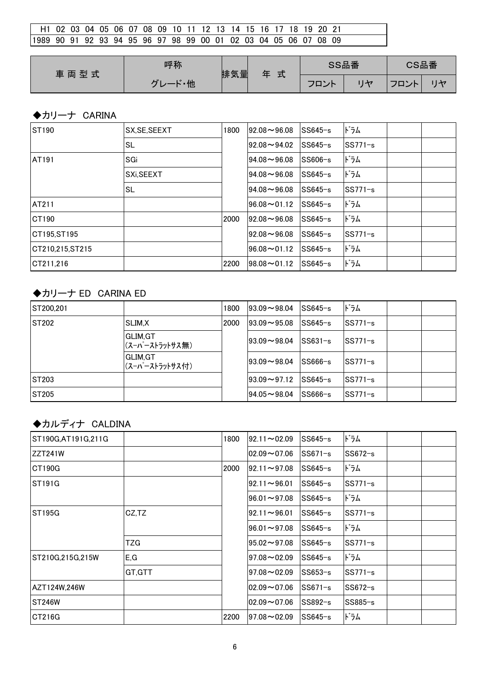| l H1 02 03 04 05 06 07 08 09 10 11 12 13 14 15 16 17 18 19 20 21  |  |  |  |  |  |  |  |  |  |  |
|-------------------------------------------------------------------|--|--|--|--|--|--|--|--|--|--|
| 11989 90 91 92 93 94 95 96 97 98 99 00 01 02 03 04 05 06 07 08 09 |  |  |  |  |  |  |  |  |  |  |

| 車両型式 | 呼称                             | 排気量 | 式 | SS品番              |         | CS品番 |   |  |
|------|--------------------------------|-----|---|-------------------|---------|------|---|--|
|      | $\cdot$<br>- 他<br>$\mathbf{r}$ |     |   | ¬¬<br>ひト<br>′ – ∠ | $H + 7$ | ハト   | H |  |

# ◆カリーナ CARINA

| <b>ST190</b>     | SX, SE, SEEXT | 1800 | $92.08 - 96.08$           | $SS645-s$ | ドラム       |  |
|------------------|---------------|------|---------------------------|-----------|-----------|--|
|                  | SL            |      | $92.08 - 94.02$           | $SS645-s$ | $SS771-s$ |  |
| AT191            | SGi           |      | $94.08 - 96.08$           | $SS606-s$ | ドラム       |  |
|                  | SXi, SEEXT    |      | $94.08 - 96.08$           | $SS645-s$ | ドラム       |  |
|                  | SL            |      | $94.08 - 96.08$           | $SS645-s$ | SS771-s   |  |
| <b>AT211</b>     |               |      | $96.08 \rightarrow 01.12$ | $SS645-s$ | ドラム       |  |
| CT190            |               | 2000 | $92.08 - 96.08$           | $SS645-s$ | ドラム       |  |
| CT195.ST195      |               |      | $92.08 - 96.08$           | $SS645-s$ | SS771-s   |  |
| ICT210.215.ST215 |               |      | $96.08 \rightarrow 01.12$ | $SS645-s$ | ドラム       |  |
| CT211.216        |               | 2200 | $98.08 \rightarrow 01.12$ | $SS645-s$ | ドラム       |  |

## ◆カリーナ ED CARINA ED

| ST200.201     |                            | 1800 | $193.09 \rightarrow 98.04$ | lSS645−s  | ドラム       |  |
|---------------|----------------------------|------|----------------------------|-----------|-----------|--|
| <b>ST202</b>  | SLIM.X                     | 2000 | $ 93.09 \sim 95.08$        | lSS645−s  | $SS771-s$ |  |
|               | GLIM.GT<br>(スーパーストラットサス無)  |      | $193.09 - 98.04$           | lSS631−s  | $SS771-s$ |  |
|               | GLIM.GT<br> (スーパーストラットサス付) |      | $193.09 - 98.04$           | lSS666−s  | $SS771-s$ |  |
| <b>ST203</b>  |                            |      | $193.09 - 97.12$           | lSS645−s  | $SS771-s$ |  |
| <b>IST205</b> |                            |      | $ 94.05 - 98.04 $          | $SS666-s$ | $SS771-s$ |  |

## ◆カルディナ CALDINA

| ST190G, AT191G, 211G |        | 1800 | $92.11 - 02.09$           | $SS645-s$ | ドラム       |  |
|----------------------|--------|------|---------------------------|-----------|-----------|--|
| ZZT241W              |        |      | $02.09 - 07.06$           | $SS671-s$ | $SS672-s$ |  |
| <b>CT190G</b>        |        | 2000 | $92.11 \rightarrow 97.08$ | $SS645-s$ | ドラム       |  |
| <b>ST191G</b>        |        |      | $92.11 \rightarrow 96.01$ | $SS645-s$ | $SS771-s$ |  |
|                      |        |      | $96.01 \rightarrow 97.08$ | $SS645-s$ | ドラム       |  |
| ST195G               | CZ,TZ  |      | $92.11 \rightarrow 96.01$ | $SS645-s$ | $SS771-s$ |  |
|                      |        |      | $96.01 \rightarrow 97.08$ | $SS645-s$ | ドラム       |  |
|                      | TZG    |      | $95.02 \rightarrow 97.08$ | $SS645-s$ | SS771-s   |  |
| ST210G,215G,215W     | E,G    |      | $97.08 - 02.09$           | $SS645-s$ | ドラム       |  |
|                      | GT.GTT |      | $97.08 - 02.09$           | $SS653-s$ | $SS771-s$ |  |
| AZT124W,246W         |        |      | $02.09 - 07.06$           | $SS671-s$ | SS672-s   |  |
| ST246W               |        |      | $02.09 - 07.06$           | $SS892-s$ | $SS885-s$ |  |
| CT216G               |        | 2200 | $97.08 - 02.09$           | $SS645-s$ | ドラム       |  |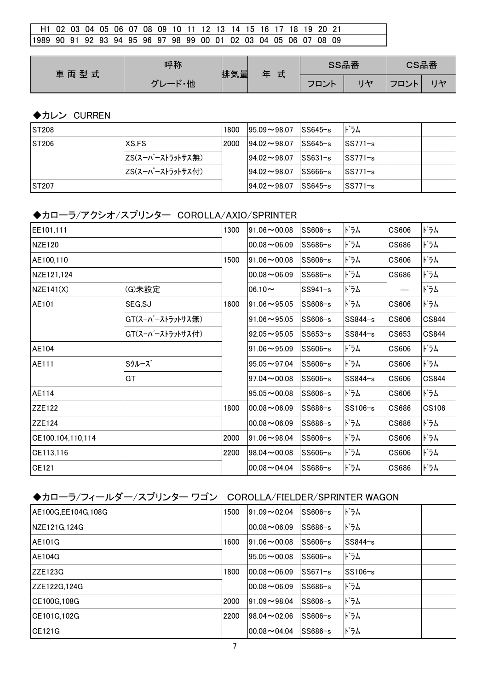| l H1 02 03 04 05 06 07 08 09 10 11 12 13 14 15 16 17 18 19 20 21  |  |  |  |  |  |  |  |  |  |  |
|-------------------------------------------------------------------|--|--|--|--|--|--|--|--|--|--|
| 11989 90 91 92 93 94 95 96 97 98 99 00 01 02 03 04 05 06 07 08 09 |  |  |  |  |  |  |  |  |  |  |

| 車両型式 | 呼称                 | 排気量 | 式<br>玍 | SS品番 |           | CS品番 |
|------|--------------------|-----|--------|------|-----------|------|
|      | $\mathbf{r}$<br>・他 |     |        | フロント | フロン<br>ハト | H    |

## ◆カレン CURREN

| <b>IST208</b> |                  | 1800 | $195.09 \rightarrow 98.07$ | $ SS645-s $         | ドラム      |  |
|---------------|------------------|------|----------------------------|---------------------|----------|--|
| <b>IST206</b> | XS.FS            | 2000 | $194.02 \sim 98.07$        | $\textsf{ISS645-s}$ | ISS771−s |  |
|               | ZS(スーパーストラットサス無) |      | $94.02 \rightarrow 98.07$  | $ SS631-s $         | ISS771−s |  |
|               | ZS(スーパーストラットサス付) |      | $194.02 \rightarrow 98.07$ | $SS666-s$           | ISS771−s |  |
| <b>IST207</b> |                  |      | $194.02 \rightarrow 98.07$ | ISS645−s            | SS771−s  |  |

# ◆カローラ/アクシオ/スプリンター COROLLA/AXIO/SPRINTER

| EE101,111         |                  | 1300 | $91.06 - 00.08$           | SS606-s   | ドラム     | CS606 | ドラム          |
|-------------------|------------------|------|---------------------------|-----------|---------|-------|--------------|
| NZE120            |                  |      | $00.08 - 06.09$           | $SS686-s$ | ドラム     | CS686 | ドラム          |
| AE100,110         |                  | 1500 | $91.06 \rightarrow 00.08$ | $SS606-s$ | ドラム     | CS606 | ドラム          |
| NZE121,124        |                  |      | $00.08 - 06.09$           | SS686-s   | ドラム     | CS686 | ドラム          |
| NZE141(X)         | (G)未設定           |      | $06.10 -$                 | $SS941-s$ | ドラム     | —     | ドラム          |
| AE101             | SEG, SJ          | 1600 | $91.06 \sim 95.05$        | $SS606-s$ | ドラム     | CS606 | ドラム          |
|                   | GT(スーパーストラットサス無) |      | $91.06 \sim 95.05$        | $SS606-s$ | SS844-s | CS606 | CS844        |
|                   | GT(スーパーストラットサス付) |      | $92.05 \sim 95.05$        | $SS653-s$ | SS844-s | CS653 | CS844        |
| AE104             |                  |      | $91.06 - 95.09$           | $SS606-s$ | ドラム     | CS606 | ドラム          |
| AE111             | Sクルーズ            |      | $95.05 \rightarrow 97.04$ | $SS606-s$ | ドラム     | CS606 | ドラム          |
|                   | GT               |      | $97.04 \sim 00.08$        | SS606-s   | SS844-s | CS606 | CS844        |
| AE114             |                  |      | $95.05 \rightarrow 00.08$ | $SS606-s$ | ドラム     | CS606 | ドラム          |
| ZZE122            |                  | 1800 | $00.08 - 06.09$           | SS686-s   | SS106-s | CS686 | <b>CS106</b> |
| <b>ZZE124</b>     |                  |      | $00.08 - 06.09$           | SS686-s   | ドラム     | CS686 | ドラム          |
| CE100,104,110,114 |                  | 2000 | $91.06 - 98.04$           | $SS606-s$ | ドラム     | CS606 | ドラム          |
| CE113,116         |                  | 2200 | $98.04 \rightarrow 00.08$ | SS606-s   | ドラム     | CS606 | ドラム          |
| CE121             |                  |      | $00.08 - 04.04$           | SS686-s   | ドラム     | CS686 | ドラム          |

# ◆カローラ/フィールダー/スプリンター ワゴン COROLLA/FIELDER/SPRINTER WAGON

| IAE100G.EE104G.108G | 1500 | $91.09 - 02.04$            | $SS606-s$ | ドラム      |  |
|---------------------|------|----------------------------|-----------|----------|--|
| INZE121G.124G       |      | $100.08 - 06.09$           | $SS686-s$ | ドラム      |  |
| <b>AE101G</b>       | 1600 | $191.06 \rightarrow 00.08$ | $SS606-s$ | SS844-s  |  |
| <b>AE104G</b>       |      | $195.05 - 00.08$           | $SS606-s$ | ドラム      |  |
| IZZE123G            | 1800 | $100.08 - 06.09$           | $SS671-s$ | lSS106−s |  |
| IZZE122G.124G       |      | $100.08 - 06.09$           | $SS686-s$ | ドラム      |  |
| CE100G.108G         | 2000 | $191.09 - 98.04$           | $SS606-s$ | ドラム      |  |
| CE101G.102G         | 2200 | $198.04 \sim 02.06$        | $SS606-s$ | ドラム      |  |
| <b>CE121G</b>       |      | $100.08 - 04.04$           | $SS686-s$ | ドラム      |  |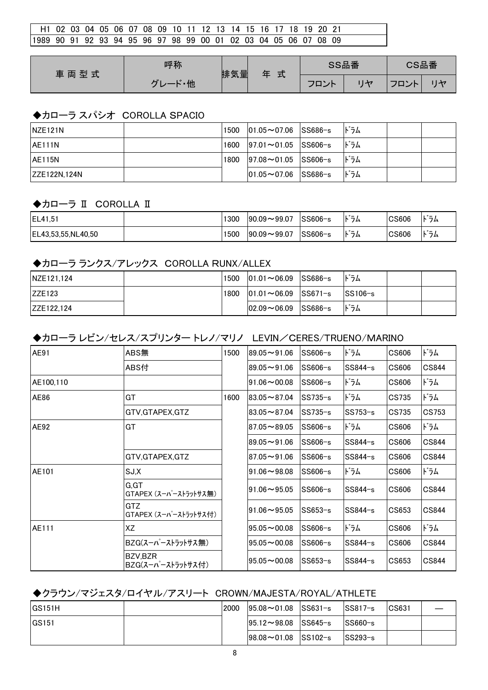| H1 02 03 04 05 06 07 08 09 10 11 12 13 14 15 16 17 18 19 20 21    |  |  |  |  |  |  |  |  |  |  |  |
|-------------------------------------------------------------------|--|--|--|--|--|--|--|--|--|--|--|
| 11989 90 91 92 93 94 95 96 97 98 99 00 01 02 03 04 05 06 07 08 09 |  |  |  |  |  |  |  |  |  |  |  |

| 車両型式 | 呼称                  | 排気量 | 式<br>玍 | SS品番 | CS品番 |    |
|------|---------------------|-----|--------|------|------|----|
|      | $\mathbf{r}$<br>- 他 |     |        | フロント | フロント | 川ヤ |

#### ◆カローラ スパシオ COROLLA SPACIO

| INZE121N       | 1500 | $ 01.05 \sim 07.06$ SS686-s | ドラム |  |
|----------------|------|-----------------------------|-----|--|
| <b>JAE111N</b> | 1600 | $ 97.01 \sim 01.05$ SS606-s | ドラム |  |
| <b>AE115N</b>  | 1800 | $ 97.08 \sim 01.05$ SS606-s | ドラム |  |
| IZZE122N.124N  |      | $ 01.05 \sim 07.06$ SS686-s | ドラム |  |

#### ◆カローラ II COROLLA II

| EL41,51             | 1300 | $ 90.09 - 99.07$ | <sup>∣</sup> SS606−s | $\cdot$ $-$<br>フム       | <b>CS606</b>       | $\cdot$ $\cdot$ $-$<br>フム<br>Þ |
|---------------------|------|------------------|----------------------|-------------------------|--------------------|--------------------------------|
| IEL43.53.55.NL40.50 | 1500 | $ 90.09 - 99.07$ | SS606-s              | $\cdot$ $-$<br>フム<br>r. | $\mathsf{IC}$ S606 | $\cdot$ $\cdot$ $-$<br>フム<br>Þ |

#### ◆カローラ ランクス/アレックス COROLLA RUNX/ALLEX

| NZE121.124  | 1500 | $ 01.01\sim06.09$ SS686-s |         | ドラム         |  |
|-------------|------|---------------------------|---------|-------------|--|
| IZZE123     | 1800 | $ 01.01\sim06.09$ SS671-s |         | $ SS106-s $ |  |
| IZZE122.124 |      | $ 02.09\sim06.09$         | SS686−s | ドラム         |  |

#### ◆カローラ レビン/セレス/スプリンター トレノ/マリノ LEVIN/CERES/TRUENO/MARINO

| AE91      | ABS無                           | 1500 | $89.05 - 91.06$           | SS606-s   | ドラム       | CS606 | ドラム          |
|-----------|--------------------------------|------|---------------------------|-----------|-----------|-------|--------------|
|           | ABS付                           |      | $89.05 - 91.06$           | $SS606-s$ | SS844-s   | CS606 | <b>CS844</b> |
| AE100.110 |                                |      | $91.06 - 00.08$           | SS606-s   | ドラム       | CS606 | ドラム          |
| AE86      | GT                             | 1600 | $83.05 \rightarrow 87.04$ | $SS735-s$ | ドラム       | CS735 | ドラム          |
|           | GTV, GTAPEX, GTZ               |      | $83.05 - 87.04$           | $SS735-s$ | $SS753-s$ | CS735 | CS753        |
| AE92      | GT                             |      | $87.05 - 89.05$           | $SS606-s$ | ドラム       | CS606 | ドラム          |
|           |                                |      | $89.05 - 91.06$           | $SS606-s$ | SS844-s   | CS606 | CS844        |
|           | GTV, GTAPEX, GTZ               |      | $87.05 - 91.06$           | $SS606-s$ | $SS844-s$ | CS606 | CS844        |
| AE101     | SJ,X                           |      | $91.06 - 98.08$           | $SS606-s$ | ドラム       | CS606 | ドラム          |
|           | G, GT<br>GTAPEX (スーパーストラットサス無) |      | $91.06 - 95.05$           | $SS606-s$ | SS844-s   | CS606 | CS844        |
|           | GTZ.<br>GTAPEX (スーパーストラットサス付)  |      | $91.06 - 95.05$           | $SS653-s$ | SS844-s   | CS653 | CS844        |
| AE111     | XZ                             |      | $95.05 - 00.08$           | $SS606-s$ | ドラム       | CS606 | ドラム          |
|           | BZG(スーパーストラットサス無)              |      | $95.05 \sim 00.08$        | $SS606-s$ | $SS844-s$ | CS606 | CS844        |
|           | BZV,BZR<br>BZG(スーパーストラットサス付)   |      | $95.05 \sim 00.08$        | $SS653-s$ | $SS844-s$ | CS653 | CS844        |

#### ◆クラウン/マジェスタ/ロイヤル/アスリート CROWN/MAJESTA/ROYAL/ATHLETE

| IGS151H       | 2000 | $ 95.08 \sim 01.08$ SS631-s        | ISS817−s    | CS631 |  |
|---------------|------|------------------------------------|-------------|-------|--|
| <b>IGS151</b> |      | $ 95.12 \rightarrow 98.08$ SS645-s | $ SS660-s $ |       |  |
|               |      | $ 98.08 \sim 01.08$ SS102-s        | SS293-s     |       |  |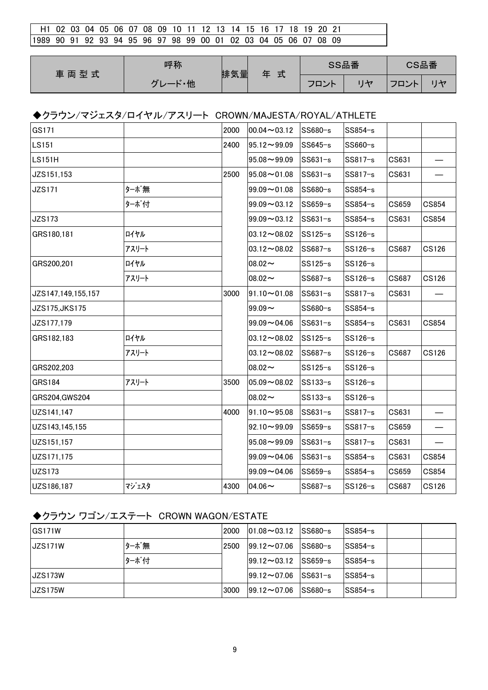| l H1 02 03 04 05 06 07 08 09 10 11 12 13 14 15 16 17 18 19 20 21 |  |  |  |  |  |  |  |  |  |  |  |
|------------------------------------------------------------------|--|--|--|--|--|--|--|--|--|--|--|
| 1989 90 91 92 93 94 95 96 97 98 99 00 01 02 03 04 05 06 07 08 09 |  |  |  |  |  |  |  |  |  |  |  |

| 車両型式 | 呼称   | 排気量 | 式 | SS品番 |    | CS品番 |    |
|------|------|-----|---|------|----|------|----|
|      | 一ド・他 |     |   | フロント | ロト | マロント | リヤ |

#### ◆クラウン/マジェスタ/ロイヤル/アスリート CROWN/MAJESTA/ROYAL/ATHLETE

| GS171              |       | 2000 | $00.04 \sim 03.12$        | SS680-s   | SS854-s |       |              |
|--------------------|-------|------|---------------------------|-----------|---------|-------|--------------|
| <b>LS151</b>       |       | 2400 | $95.12 \rightarrow 99.09$ | SS645-s   | SS660-s |       |              |
| <b>LS151H</b>      |       |      | $95.08 - 99.09$           | $SS631-s$ | SS817-s | CS631 |              |
| JZS151,153         |       | 2500 | $95.08 \sim 01.08$        | $SS631-s$ | SS817-s | CS631 |              |
| <b>JZS171</b>      | ターボ無  |      | $99.09 - 01.08$           | SS680-s   | SS854-s |       |              |
|                    | ターボ付  |      | $99.09 - 03.12$           | SS659-s   | SS854-s | CS659 | CS854        |
| <b>JZS173</b>      |       |      | $99.09 - 03.12$           | $SS631-s$ | SS854-s | CS631 | CS854        |
| GRS180,181         | ロイヤル  |      | $03.12 \rightarrow 08.02$ | $SS125-s$ | SS126-s |       |              |
|                    | アスリート |      | $03.12 \rightarrow 08.02$ | SS687-s   | SS126-s | CS687 | <b>CS126</b> |
| GRS200,201         | ロイヤル  |      | $08.02 -$                 | SS125-s   | SS126-s |       |              |
|                    | アスリート |      | $08.02 \sim$              | SS687-s   | SS126-s | CS687 | <b>CS126</b> |
| JZS147,149,155,157 |       | 3000 | $91.10 \sim 01.08$        | $SS631-s$ | SS817-s | CS631 |              |
| JZS175, JKS175     |       |      | $99.09 -$                 | SS680-s   | SS854-s |       |              |
| JZS177,179         |       |      | $99.09 - 04.06$           | SS631-s   | SS854-s | CS631 | CS854        |
| GRS182,183         | ロイヤル  |      | $03.12 \rightarrow 08.02$ | SS125-s   | SS126-s |       |              |
|                    | アスリート |      | $03.12 - 08.02$           | SS687-s   | SS126-s | CS687 | <b>CS126</b> |
| GRS202,203         |       |      | $08.02 -$                 | $SS125-s$ | SS126-s |       |              |
| <b>GRS184</b>      | アスリート | 3500 | $05.09 - 08.02$           | SS133-s   | SS126-s |       |              |
| GRS204, GWS204     |       |      | $08.02 -$                 | $SS133-s$ | SS126-s |       |              |
| UZS141,147         |       | 4000 | $91.10 - 95.08$           | $SS631-s$ | SS817-s | CS631 |              |
| UZS143,145,155     |       |      | $92.10 - 99.09$           | SS659-s   | SS817-s | CS659 |              |
| UZS151,157         |       |      | $95.08 \rightarrow 99.09$ | $SS631-s$ | SS817-s | CS631 |              |
| UZS171,175         |       |      | $99.09 - 04.06$           | $SS631-s$ | SS854-s | CS631 | CS854        |
| <b>UZS173</b>      |       |      | $99.09 - 04.06$           | SS659-s   | SS854-s | CS659 | <b>CS854</b> |
| UZS186,187         | マジェスタ | 4300 | $04.06 \sim$              | SS687-s   | SS126-s | CS687 | CS126        |

#### ◆クラウン ワゴン/エステート CROWN WAGON/ESTATE

| <b>GS171W</b>  |      | 2000 | $ 01.08 \sim 03.12$        | $SS680-s$ | ISS854−s    |  |
|----------------|------|------|----------------------------|-----------|-------------|--|
| <b>JZS171W</b> | ターボ無 | 2500 | $ 99.12 \rightarrow 07.06$ | $SS680-s$ | $SS854-s$   |  |
|                | ターボ付 |      | $199.12 \rightarrow 03.12$ | $SS659-s$ | $SS854-s$   |  |
| JZS173W        |      |      | $199.12 \rightarrow 07.06$ | $SS631-s$ | ISS854−s    |  |
| JZS175W        |      | 3000 | $199.12 \rightarrow 07.06$ | $SS680-s$ | $ SS854-s $ |  |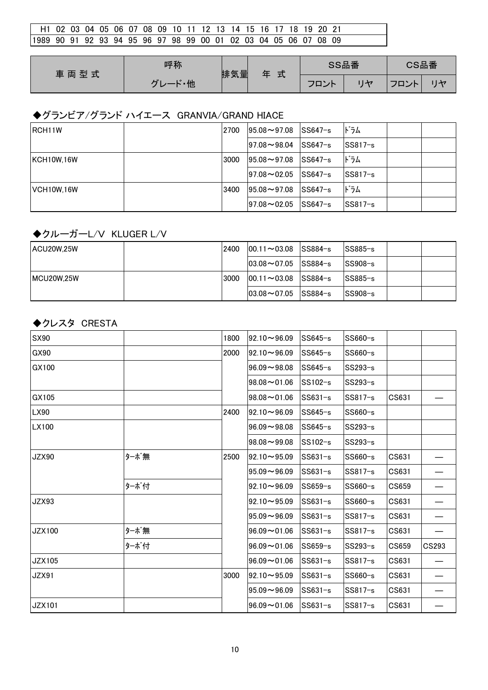| l H1 02 03 04 05 06 07 08 09 10 11 12 13 14 15 16 17 18 19 20 21 |  |  |  |  |  |  |  |  |  |  |  |
|------------------------------------------------------------------|--|--|--|--|--|--|--|--|--|--|--|
| 1989 90 91 92 93 94 95 96 97 98 99 00 01 02 03 04 05 06 07 08 09 |  |  |  |  |  |  |  |  |  |  |  |

| 車両型式 | 呼称                  | 排気量 | $\rightarrow$ | SS品番          |         | CS品番     |  |
|------|---------------------|-----|---------------|---------------|---------|----------|--|
|      | - 他<br>$\mathbf{r}$ |     | ᅚ             | ¬¬<br>◞<br>–∽ | $H + 7$ | ——<br>ハト |  |

# ◆グランビア/グランド ハイエース GRANVIA/GRAND HIACE

| <b>IRCH11W</b> | 2700 | $195.08 \rightarrow 97.08$ | $ SS647-s $ | ドラム       |
|----------------|------|----------------------------|-------------|-----------|
|                |      | $ 97.08 \sim 98.04$        | $ SS647-s $ | $SS817-s$ |
| IKCH10W.16W    | 3000 | $ 95.08 \sim 97.08$        | $ SS647-s $ | ドラム       |
|                |      | $ 97.08 \sim 02.05$        | $ SS647-s $ | $SS817-s$ |
| IVCH10W.16W    | 3400 | $195.08 \rightarrow 97.08$ | $ SS647-s $ | ドラム       |
|                |      | $ 97.08\sim$ 02.05         | $ SS647-s $ | $SS817-s$ |

## ◆クルーガーL/V KLUGER L/V

| <b>ACU20W.25W</b> | 2400 | $ 00.11 \sim 03.08$ SS884-s | $SS885-s$ |
|-------------------|------|-----------------------------|-----------|
|                   |      | $ 03.08 \sim 07.05$ SS884-s | $SS908-s$ |
| <b>MCU20W.25W</b> | 3000 | $ 00.11 \sim 03.08$ SS884-s | $SS885-s$ |
|                   |      | $ 03.08 \sim 07.05$ SS884-s | $SS908-s$ |

#### ◆クレスタ CRESTA

| SX90          |      | 1800 | $92.10 - 96.09$           | $SS645-s$ | SS660-s   |       |       |
|---------------|------|------|---------------------------|-----------|-----------|-------|-------|
| GX90          |      | 2000 | $92.10 \rightarrow 96.09$ | $SS645-s$ | SS660-s   |       |       |
| GX100         |      |      | $96.09 - 98.08$           | $SS645-s$ | $SS293-s$ |       |       |
|               |      |      | $98.08 - 01.06$           | $SS102-s$ | $SS293-s$ |       |       |
| GX105         |      |      | $98.08 \sim 01.06$        | SS631-s   | SS817-s   | CS631 |       |
| LX90          |      | 2400 | $92.10 \rightarrow 96.09$ | $SS645-s$ | SS660-s   |       |       |
| LX100         |      |      | $96.09 - 98.08$           | $SS645-s$ | SS293-s   |       |       |
|               |      |      | $98.08 - 99.08$           | $SS102-s$ | $SS293-s$ |       |       |
| <b>JZX90</b>  | ターボ無 | 2500 | $92.10 \rightarrow 95.09$ | $SS631-s$ | SS660-s   | CS631 |       |
|               |      |      | $95.09 - 96.09$           | $SS631-s$ | SS817-s   | CS631 |       |
|               | ターボ付 |      | $92.10 \rightarrow 96.09$ | $SS659-s$ | SS660-s   | CS659 |       |
| <b>JZX93</b>  |      |      | $92.10 - 95.09$           | $SS631-s$ | SS660-s   | CS631 |       |
|               |      |      | $95.09 - 96.09$           | $SS631-s$ | $SS817-s$ | CS631 |       |
| <b>JZX100</b> | ターボ無 |      | $96.09 - 01.06$           | $SS631-s$ | $SS817-s$ | CS631 |       |
|               | ターボ付 |      | $96.09 - 01.06$           | $SS659-s$ | SS293-s   | CS659 | CS293 |
| <b>JZX105</b> |      |      | $96.09 - 01.06$           | $SS631-s$ | SS817-s   | CS631 |       |
| JZX91         |      | 3000 | $92.10 - 95.09$           | $SS631-s$ | SS660-s   | CS631 |       |
|               |      |      | $95.09 - 96.09$           | $SS631-s$ | SS817-s   | CS631 |       |
| <b>JZX101</b> |      |      | $96.09 - 01.06$           | SS631-s   | SS817-s   | CS631 |       |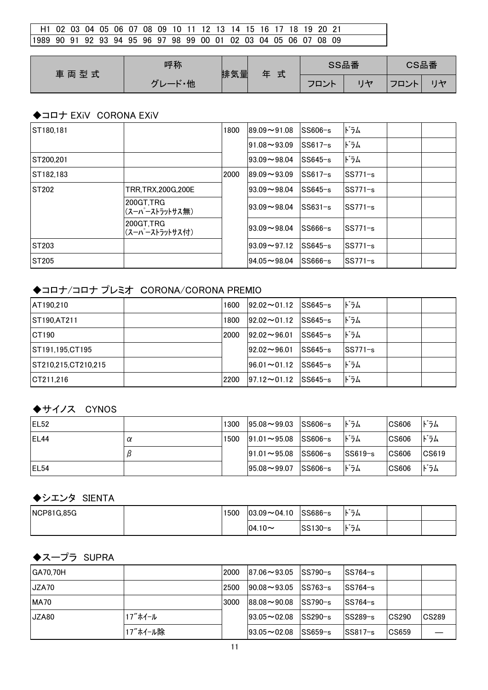| l H1 02 03 04 05 06 07 08 09 10 11 12 13 14 15 16 17 18 19 20 21  |  |  |  |  |  |  |  |  |  |  |  |
|-------------------------------------------------------------------|--|--|--|--|--|--|--|--|--|--|--|
| 11989 90 91 92 93 94 95 96 97 98 99 00 01 02 03 04 05 06 07 08 09 |  |  |  |  |  |  |  |  |  |  |  |

| 車両型式 | 呼称   | 排気量 | 式<br>玍 | SS品番 | CS品番 |  |
|------|------|-----|--------|------|------|--|
|      | ード・他 |     |        | フロント | フロント |  |

## ◆コロナ EXiV CORONA EXiV

| ST180,181    |                             | 1800 | $89.09 - 91.08$ | SS606-s   | ドラム         |  |
|--------------|-----------------------------|------|-----------------|-----------|-------------|--|
|              |                             |      | $91.08 - 93.09$ | $SS617-s$ | ドラム         |  |
| ST200.201    |                             |      | $93.09 - 98.04$ | $SS645-s$ | ドラム         |  |
| IST182.183   |                             | 2000 | $89.09 - 93.09$ | $SS617-s$ | lSS771−s    |  |
| ST202        | TRR.TRX.200G.200E           |      | $93.09 - 98.04$ | $SS645-s$ | $ SS771-s $ |  |
|              | 200GT.TRG<br>(スーパーストラットサス無) |      | $93.09 - 98.04$ | $SS631-s$ | SS771-s     |  |
|              | 200GT.TRG<br>(スーパーストラットサス付) |      | $93.09 - 98.04$ | $SS666-s$ | $SS771-s$   |  |
| <b>ST203</b> |                             |      | $93.09 - 97.12$ | $SS645-s$ | SS771−s     |  |
| ST205        |                             |      | $94.05 - 98.04$ | $SS666-s$ | SS771-s     |  |

## ◆コロナ/コロナ プレミオ CORONA/CORONA PREMIO

| <b>AT190.210</b>    | 1600 | $ 92.02 \rightarrow 01.12$ | $ SS645-s $ | ドラム       |  |
|---------------------|------|----------------------------|-------------|-----------|--|
| ST190, AT211        | 1800 | $ 92.02 \rightarrow 01.12$ | $ SS645-s $ | ドラム       |  |
| <b>ICT190</b>       | 2000 | $ 92.02 \rightarrow 96.01$ | $ SS645-s $ | ドラム       |  |
| ST191.195.CT195     |      | $ 92.02 \rightarrow 96.01$ | $SS645-s$   | $SS771-s$ |  |
| ST210,215,CT210,215 |      | $ 96.01 \sim 01.12$        | $ SS645-s $ | ドラム       |  |
| ICT211.216          | 2200 | $ 97.12 \rightarrow 01.12$ | $ SS645-s $ | ドラム       |  |

## ◆サイノス CYNOS

| IEL <sub>52</sub> |   | 1300 | $ 95.08 \sim 99.03$        | $ S S606-s $ | ドラム         | <b>CS606</b> | ドラム             |
|-------------------|---|------|----------------------------|--------------|-------------|--------------|-----------------|
| IEL <sub>44</sub> | α | 1500 | $191.01 \rightarrow 95.08$ | $ SS606-s $  | ドラム         | <b>CS606</b> | ドラム             |
|                   |   |      | $ 91.01 \rightarrow 95.08$ | $SS606-s$    | $ SS619-s $ | $ C$ S606    | $ CS619\rangle$ |
| IEL <sub>54</sub> |   |      | $195.08 \rightarrow 99.07$ | SS606-s      | ドラム         | <b>CS606</b> | ドラム             |

## ◆シエンタ SIENTA

| <b>NCP81G.85G</b> | 1500 | $ 03.09 \sim 04.10$ | SS686-s | $\cdot$ $\cdot$ $-$<br>フム<br>I۴. |  |
|-------------------|------|---------------------|---------|----------------------------------|--|
|                   |      | $ 04.10 -$          | SS130-s | $\cdot$ $\cdot$ $-$<br>フム<br>'N  |  |

# ◆スープラ SUPRA

| <b>GA70.70H</b> |          | 2000 | $187.06 \sim 93.05$        | $ SS790-s $ | lSS764−s  |                                      |       |
|-----------------|----------|------|----------------------------|-------------|-----------|--------------------------------------|-------|
| JZA70           |          | 2500 | $ 90.08 \rightarrow 93.05$ | SS763-s     | lSS764−s  |                                      |       |
| MA70            |          | 3000 | $188.08 \sim 90.08$        | $ SS790-s $ | lSS764−s  |                                      |       |
| JZA80           | 17"ホイール  |      | $ 93.05 \sim 02.08$        | $ SS290-s $ | $SS289-s$ | <b>CS290</b>                         | CS289 |
|                 | 17"ホイール除 |      | $193.05 - 02.08$           | SS659-s     | lSS817−s  | $\textcolor{red}{\textbf{CC}}$ CS659 |       |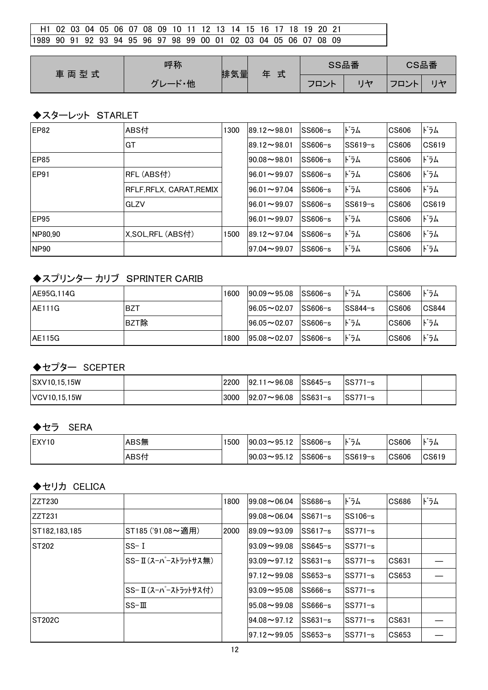| 11989 90 91 92 93 94 95 96 97 98 99 00 01 02 03 04 05 06 07 08 09 |  |  |  |  |  |  |  |  |  |  |
|-------------------------------------------------------------------|--|--|--|--|--|--|--|--|--|--|

| 車両型式 | 呼称                  | 排気量 | 式<br>玍 | SS品番 |                | CS品番 |         |
|------|---------------------|-----|--------|------|----------------|------|---------|
|      | $\mathbf{r}$<br>- 他 |     |        | フロント | $\overline{1}$ | マロン  | $1 + 7$ |

#### ◆スターレット STARLET

| EP82             | ABS付                   | 1300 | $ 89.12\!\thicksim\!98.01$ | $SS606-s$ | ドラム       | CS606                     | ドラム   |
|------------------|------------------------|------|----------------------------|-----------|-----------|---------------------------|-------|
|                  | GT                     |      | $189.12 \rightarrow 98.01$ | $SS606-s$ | $SS619-s$ | $\overline{\text{CS606}}$ | CS619 |
| IEP85            |                        |      | $90.08 - 98.01$            | $SS606-s$ | ドラム       | CS606                     | ドラム   |
| IEP91            | RFL (ABS付)             |      | $96.01 \sim 99.07$         | $SS606-s$ | ドラム       | CS606                     | ドラム   |
|                  | RFLF.RFLX. CARAT.REMIX |      | $96.01 \rightarrow 97.04$  | $SS606-s$ | ドラム       | CS606                     | ドラム   |
|                  | GLZV                   |      | $96.01 \sim 99.07$         | $SS606-s$ | lSS619−s  | $\overline{\text{CS606}}$ | CS619 |
| EP95             |                        |      | $96.01 - 99.07$            | $SS606-s$ | ドラム       | CS606                     | ドラム   |
| NP80.90          | X, SOL, RFL (ABS付)     | 1500 | $ 89.12 \sim 97.04$        | $SS606-s$ | ドラム       | CS606                     | ドラム   |
| NP <sub>90</sub> |                        |      | $ 97.04\!\thicksim\!99.07$ | $SS606-s$ | ドラム       | CS606                     | ドラム   |

# ◆スプリンター カリブ SPRINTER CARIB

| AE95G.114G     |      | 1600 | $190.09 - 95.08$    | $ SS606-s $ | ドラム       | <b>CS606</b> | ドラム   |
|----------------|------|------|---------------------|-------------|-----------|--------------|-------|
| <b>JAE111G</b> | BZT  |      | $196.05 \sim 02.07$ | lSS606−s    | $SS844-s$ | $ C$ S606    | CS844 |
|                | BZT除 |      | $196.05 \sim 02.07$ | SS606-s     | ドラム       | CS606        | ドラム   |
| <b>AE115G</b>  |      | 1800 | $ 95.08 \sim 02.07$ | SS606-s     | ドラム       | <b>CS606</b> | ドラム   |

# ◆セプター SCEPTER

| SXV10,15,15W         | 2200 | $ 92.11 \sim 96.08$ SS645-s |             | $ SS771-s$           |  |
|----------------------|------|-----------------------------|-------------|----------------------|--|
| <b>IVCV10.15.15W</b> | 3000 | $ 92.07 \sim 96.08$         | $ SS631-s $ | <sup>∣</sup> SS771−s |  |

## ◆セラ SERA

| IEXY10 | ABS無 | 1500 | $ 90.03 \rightarrow 95.12$ | SS606−s  | $\cdot$ $\cdot$ $-$<br>フム<br>P. | CS606 | ドラム   |
|--------|------|------|----------------------------|----------|---------------------------------|-------|-------|
|        | ABS付 |      | $ 90.03 \rightarrow 95.12$ | lSS606−s | $ SS619-s$                      | CS606 | CS619 |

# ◆セリカ CELICA

| ZZT230        |                    | 1800 | $99.08 - 06.04$            | $SS686-s$ | ドラム       | CS686 | ドラム |
|---------------|--------------------|------|----------------------------|-----------|-----------|-------|-----|
| ZZT231        |                    |      | $99.08 - 06.04$            | $SS671-s$ | $SS106-s$ |       |     |
| ST182.183.185 | ST185 ('91.08~適用)  | 2000 | $89.09 - 93.09$            | $SS617-s$ | $SS771-s$ |       |     |
| <b>ST202</b>  | $SS-I$             |      | $93.09 - 99.08$            | $SS645-s$ | $SS771-s$ |       |     |
|               | SS−Ⅱ(ス−パ−ストラットサス無) |      | $93.09 - 97.12$            | $SS631-s$ | SS771−s   | CS631 |     |
|               |                    |      | $ 97.12 \rightarrow 99.08$ | $SS653-s$ | SS771−s   | CS653 |     |
|               | SS-I(スーパーストラットサス付) |      | $93.09 - 95.08$            | $SS666-s$ | SS771−s   |       |     |
|               | $SS-\Pi$           |      | $95.08 - 99.08$            | $SS666-s$ | ISS771−s  |       |     |
| <b>ST202C</b> |                    |      | $194.08 \rightarrow 97.12$ | $SS631-s$ | $SS771-s$ | CS631 |     |
|               |                    |      | $ 97.12 \rightarrow 99.05$ | $SS653-s$ | SS771−s   | CS653 |     |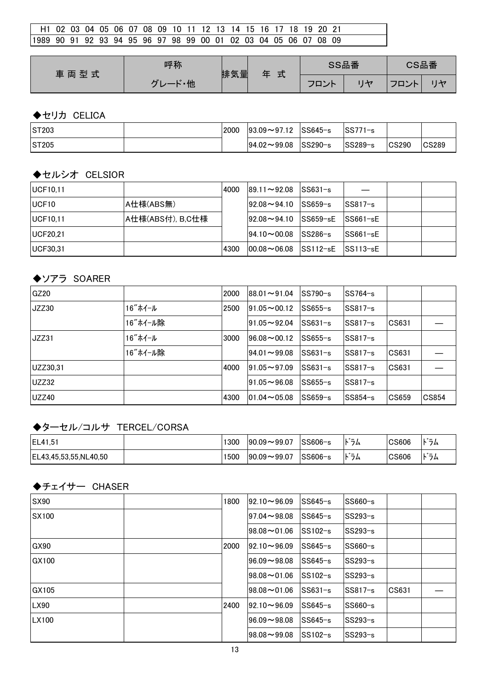| H1 02 03 04 05 06 07 08 09 10 11 12 13 14 15 16 17 18 19 20 21    |  |  |  |  |  |  |  |  |  |  |  |
|-------------------------------------------------------------------|--|--|--|--|--|--|--|--|--|--|--|
| 11989 90 91 92 93 94 95 96 97 98 99 00 01 02 03 04 05 06 07 08 09 |  |  |  |  |  |  |  |  |  |  |  |

| 車両型式 | 呼称                       | 排気量 | 式<br>玍 | SS品番 | CS品番 |         |
|------|--------------------------|-----|--------|------|------|---------|
|      | ・他<br>$\mathbf{r}$<br>., |     |        | フロント | フロント | $H + 7$ |

## ◆セリカ CELICA

| <b>IST203</b> | 2000 | $ 93.09 \rightarrow 97.12$ | SS645−s  | $\textsf{ISS771-s}$ |       |       |
|---------------|------|----------------------------|----------|---------------------|-------|-------|
| <b>IST205</b> |      | $194.02 \sim 99.08$        | lSS290−s | $ SS289-s $         | CS290 | CS289 |

### ◆セルシオ CELSIOR

| <b>UCF10,11</b>   |                  | 4000 | $ 89.11 \rightarrow 92.08$ | $ SS631-s $    |                |  |
|-------------------|------------------|------|----------------------------|----------------|----------------|--|
| UCF <sub>10</sub> | A仕様(ABS無)        |      | $ 92.08 \rightarrow 94.10$ | $ SS659-s $    | SS817−s        |  |
| UCF10,11          | A仕様(ABS付), B,C仕様 |      | $192.08 \rightarrow 94.10$ | $ SS659 - sE $ | $ SS661 - sE $ |  |
| <b>IUCF20.21</b>  |                  |      | $ 94.10 \sim 00.08$        | $SS286-s$      | $ SS661 - sE$  |  |
| UCF30,31          |                  | 4300 | $100.08 \sim 06.08$        | $ SS112-sE $   | $ SS113 - sE $ |  |

## ◆ソアラ SOARER

| IGZ20    |          | 2000 | $ 88.01 \sim 91.04$          | lSS790−s  | lSS764−s |              |              |
|----------|----------|------|------------------------------|-----------|----------|--------------|--------------|
| JZZ30    | 16"ホイール  | 2500 | $191.05 \rightarrow 00.12$   | $SS655-s$ | ISS817−s |              |              |
|          | 16"ホイール除 |      | $191.05 - 92.04$             | $SS631-s$ | lSS817−s | CS631        |              |
| JZZ31    | 16"ホイール  | 3000 | $196.08 \rightarrow 00.12$   | $SS655-s$ | lSS817−s |              |              |
|          | 16"ホイール除 |      | $194.01 \rightarrow 99.08$   | $SS631-s$ | SS817−s  | CS631        |              |
| UZZ30,31 |          | 4000 | $191.05 \!\thicksim\! 97.09$ | $SS631-s$ | SS817−s  | CS631        |              |
| UZZ32    |          |      | $191.05 - 96.08$             | $SS655-s$ | SS817−s  |              |              |
| UZZ40    |          | 4300 | $ 01.04\sim$ 05.08           | $SS659-s$ | SS854-s  | <b>CS659</b> | <b>CS854</b> |

## ◆ターセル/コルサ TERCEL/CORSA

| <b>IEL41.51</b>        | 1300 | $ 90.09 - 99.07$ | $SS606-s$ | $\cdot$ $\cdot$ $-$<br>フム<br>I۴. | CS606 | $\cdot$ $-$<br>フム<br>N |
|------------------------|------|------------------|-----------|----------------------------------|-------|------------------------|
| IEL43.45.53.55.NL40.50 | 1500 | $ 90.09 - 99.07$ | 'SS606−s  | .<br>フム                          | CS606 | * –<br>フム<br>N         |

#### ◆チェイサー CHASER

| <b>SX90</b>  | 1800 | $92.10 - 96.09$     | $SS645-s$ | $SS660-s$ |       |  |
|--------------|------|---------------------|-----------|-----------|-------|--|
| <b>SX100</b> |      | $197.04 \sim 98.08$ | $SS645-s$ | $SS293-s$ |       |  |
|              |      | $198.08 - 01.06$    | $SS102-s$ | $SS293-s$ |       |  |
| GX90         | 2000 | $192.10 - 96.09$    | $SS645-s$ | $SS660-s$ |       |  |
| GX100        |      | $196.09 - 98.08$    | $SS645-s$ | $SS293-s$ |       |  |
|              |      | $198.08 - 01.06$    | lSS102−s  | $SS293-s$ |       |  |
| GX105        |      | $ 98.08 \sim 01.06$ | $SS631-s$ | $SS817-s$ | CS631 |  |
| LX90         | 2400 | $92.10 - 96.09$     | $SS645-s$ | $SS660-s$ |       |  |
| LX100        |      | $196.09 - 98.08$    | $SS645-s$ | $SS293-s$ |       |  |
|              |      | $ 98.08 - 99.08 $   | $SS102-s$ | $SS293-s$ |       |  |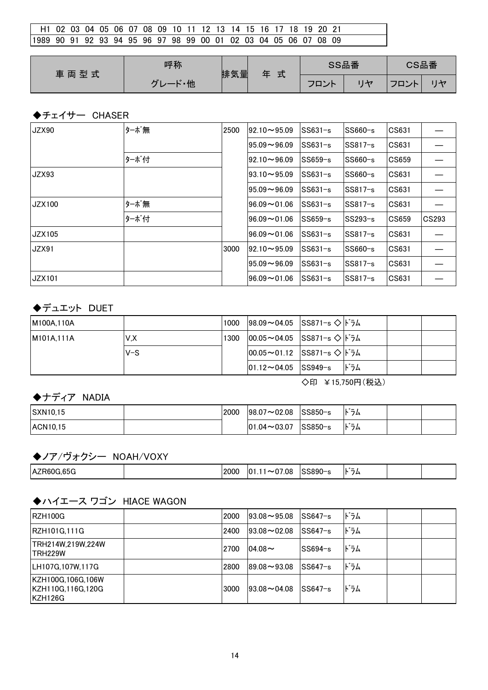| l H1 02 03 04 05 06 07 08 09 10 11 12 13 14 15 16 17 18 19 20 21 |  |  |  |  |  |  |  |  |  |  |
|------------------------------------------------------------------|--|--|--|--|--|--|--|--|--|--|
| 1989 90 91 92 93 94 95 96 97 98 99 00 01 02 03 04 05 06 07 08 09 |  |  |  |  |  |  |  |  |  |  |

| 車両型式 | 呼称                 | 排気量 | 式 | SS品番 |                  | CS品番 |
|------|--------------------|-----|---|------|------------------|------|
|      | ・他<br>$\mathbf{r}$ |     |   | フロント | $\neg \Box$<br>ᄼ |      |

#### ◆チェイサー CHASER

| JZX90         | ターボ無 | 2500 | $92.10 \rightarrow 95.09$ | $SS631-s$ | $SS660-s$ | CS631 |       |
|---------------|------|------|---------------------------|-----------|-----------|-------|-------|
|               |      |      | $95.09 - 96.09$           | $SS631-s$ | $SS817-s$ | CS631 |       |
|               | ターボ付 |      | $92.10 \rightarrow 96.09$ | $SS659-s$ | $SS660-s$ | CS659 |       |
| JZX93         |      |      | $93.10 \rightarrow 95.09$ | $SS631-s$ | $SS660-s$ | CS631 |       |
|               |      |      | $95.09 - 96.09$           | $SS631-s$ | $SS817-s$ | CS631 |       |
| JZX100        | ターボ無 |      | $96.09 - 01.06$           | $SS631-s$ | SS817−s   | CS631 |       |
|               | ターボ付 |      | $96.09 - 01.06$           | $SS659-s$ | $SS293-s$ | CS659 | CS293 |
| JZX105        |      |      | $96.09 - 01.06$           | $SS631-s$ | $SS817-s$ | CS631 |       |
| JZX91         |      | 3000 | $92.10 \rightarrow 95.09$ | $SS631-s$ | $SS660-s$ | CS631 |       |
|               |      |      | $95.09 - 96.09$           | $SS631-s$ | $SS817-s$ | CS631 |       |
| <b>JZX101</b> |      |      | $96.09 - 01.06$           | $SS631-s$ | $SS817-s$ | CS631 |       |

## ◆デュエット DUET

| M100A.110A |       | 1000 | $ 98.09 \sim 04.05$ SS871-s $\diamond$   $\sim$ 54 |                 |     |  |
|------------|-------|------|----------------------------------------------------|-----------------|-----|--|
| M101A.111A | V.X   | 1300 | $ 00.05 \sim 04.05$ SS871-s $\Diamond$   i 54      |                 |     |  |
|            | $V-S$ |      | $ 00.05 \sim 01.12$ SS871-s $\diamond$   i 54      |                 |     |  |
|            |       |      | $ 01.12 \sim 04.05$ SS949-s                        |                 | ドラム |  |
|            |       |      |                                                    | ◇印 ¥15,750円(税込) |     |  |

◆ナディア NADIA

| <b>SXN10.15</b> | 2000 | $ 98.07 \sim 02.08$ | $ SS850-s $ | $\cdot$ $\cdot$ $-$<br>フム<br>IN. |  |
|-----------------|------|---------------------|-------------|----------------------------------|--|
| <b>ACN10.15</b> |      | $ 01.04 \sim 03.07$ | SS850-s     | $\cdot$ $\cdot$ $-$<br>フム<br>י ה |  |

#### ◆ノア/ヴォクシー NOAH/VOXY

|  | <b>IAZF</b><br>.00U |  | 2000 | .08<br>v | $\sim$ $\sim$ $\sim$<br>ააბყი<br>$\sim$ | $\cdot$ $\cdot$ $-$<br>N<br>_<br>י ב |  |  |
|--|---------------------|--|------|----------|-----------------------------------------|--------------------------------------|--|--|
|--|---------------------|--|------|----------|-----------------------------------------|--------------------------------------|--|--|

## ◆ハイエース ワゴン HIACE WAGON

| IRZH100G                                          | 2000 | $193.08 - 95.08$ | $SS647-s$ | ドラム |  |
|---------------------------------------------------|------|------------------|-----------|-----|--|
| RZH101G,111G                                      | 2400 | $193.08 - 02.08$ | $SS647-s$ | ドラム |  |
| TRH214W,219W,224W<br>ITRH229W                     | 2700 | $ 04.08\sim$     | $SS694-s$ | ドラム |  |
| LH107G,107W,117G                                  | 2800 | $189.08 - 93.08$ | $SS647-s$ | ドラム |  |
| KZH100G,106G,106W<br>KZH110G,116G,120G<br>KZH126G | 3000 | $193.08 - 04.08$ | $SS647-s$ | ドラム |  |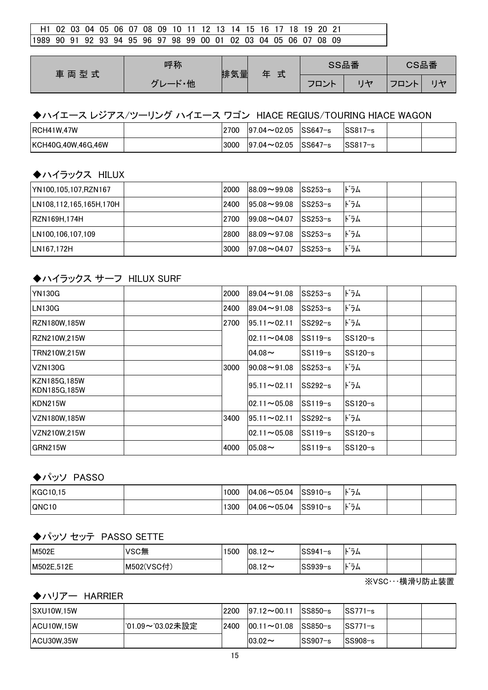| H1 02 03 04 05 06 07 08 09 10 11 12 13 14 15 16 17 18 19 20 21    |  |  |  |  |  |  |  |  |  |  |  |
|-------------------------------------------------------------------|--|--|--|--|--|--|--|--|--|--|--|
| 11989 90 91 92 93 94 95 96 97 98 99 00 01 02 03 04 05 06 07 08 09 |  |  |  |  |  |  |  |  |  |  |  |

| 車両型式 | 呼称                 | 排気量 | 式<br>玍 | SS品番 | CS品番              |    |
|------|--------------------|-----|--------|------|-------------------|----|
|      | $\mathbf{r}$<br>・他 |     |        | フロント | フロント<br><b>IN</b> | 川や |

## ◆ハイエース レジアス/ツーリング ハイエース ワゴン HIACE REGIUS/TOURING HIACE WAGON

| <b>RCH41W.47W</b>          | 2700 | $97.04 \sim 02.05$ | ∵ ISS647−s | lSS817−s |  |
|----------------------------|------|--------------------|------------|----------|--|
| <b>IKCH40G.40W.46G.46W</b> | 3000 | $97.04 \sim 02.05$ | ີ ISS647−s | lSS817−s |  |

## ◆ハイラックス HILUX

| YN100,105,107,RZN167    | 2000 | $188.09 - 99.08$    | $ SS253-s $                        | ドラム |  |
|-------------------------|------|---------------------|------------------------------------|-----|--|
| LN108,112,165,165H,170H | 2400 | $ 95.08 \sim 99.08$ | $\textsf{SS253-s}$                 | ドラム |  |
| RZN169H,174H            | 2700 | $ 99.08 \sim 04.07$ | $ SS253-s $                        | ドラム |  |
| LN100,106,107,109       | 2800 | $ 88.09 \sim 97.08$ | $\textcolor{blue}{\text{SS253-s}}$ | ドラム |  |
| LN167,172H              | 3000 | $ 97.08 \sim 04.07$ | $SS253-s$                          | ドラム |  |

#### ◆ハイラックス サーフ HILUX SURF

| <b>YN130G</b>                | 2000 | $89.04 \rightarrow 91.08$ | $SS253-s$ | ドラム      |  |
|------------------------------|------|---------------------------|-----------|----------|--|
| <b>LN130G</b>                | 2400 | $89.04 - 91.08$           | $SS253-s$ | ドラム      |  |
| RZN180W.185W                 | 2700 | $95.11 \rightarrow 02.11$ | $SS292-s$ | ドラム      |  |
| RZN210W.215W                 |      | $02.11 - 04.08$           | $SS119-s$ | SS120-s  |  |
| TRN210W.215W                 |      | $04.08 -$                 | $SS119-s$ | lSS120−s |  |
| <b>VZN130G</b>               | 3000 | $90.08 - 91.08$           | $SS253-s$ | ドラム      |  |
| KZN185G.185W<br>KDN185G,185W |      | $95.11 \rightarrow 02.11$ | $SS292-s$ | ドラム      |  |
| KDN215W                      |      | $02.11 - 05.08$           | $SS119-s$ | SS120-s  |  |
| VZN180W.185W                 | 3400 | $95.11 \sim 02.11$        | $SS292-s$ | ドラム      |  |
| VZN210W.215W                 |      | $02.11 - 05.08$           | $SS119-s$ | SS120-s  |  |
| GRN215W                      | 4000 | $05.08 -$                 | $SS119-s$ | SS120−s  |  |

#### ◆パッソ PASSO

| KGC10.15     | 1000 | $ 04.06 \sim 05.04$ | lSS910−s | $\cdot$ $\cdot$ $-$<br>フム<br>P. |  |
|--------------|------|---------------------|----------|---------------------------------|--|
| <b>QNC10</b> | 1300 | $ 04.06 \sim 05.04$ | lSS910−s | $\cdot$ $\cdot$ $-$<br>フム<br>N  |  |

#### ◆パッソ セッテ PASSO SETTE

| <b>M502E</b> | VSC無       | 500 | $08.12 -$  | $SS941-s$ | $-$<br>フム<br>Ð |  |
|--------------|------------|-----|------------|-----------|----------------|--|
| M502E.512E   | M502(VSC付) |     | $ 08.12 -$ | $SS939-s$ | $-$<br>フム<br>, |  |

※VSC・・・横滑り防止装置

#### ◆ハリアー HARRIER

| SXU10W.15W        |                  | 2200 | $197.12 \rightarrow 00.11$ | $\textsf{ISS850-s}$ | ISS771−s    |  |
|-------------------|------------------|------|----------------------------|---------------------|-------------|--|
| IACU10W.15W       | '01.09~'03.02未設定 | 2400 | $ 00.11 \rightarrow 01.08$ | SS850−s             | $ SS771-s $ |  |
| <b>ACU30W.35W</b> |                  |      | $103.02 \sim$              | lSS907−s            | $SS908-s$   |  |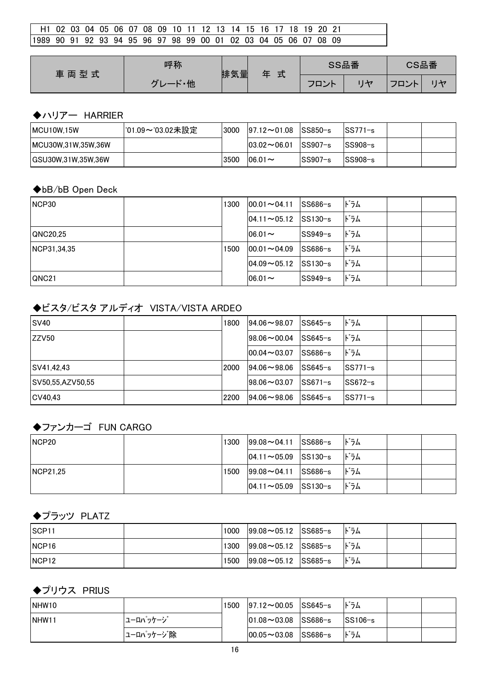| - H1 02 03 04 05 06 07 08 09 10 11 12 13 14 15 16 17 18 19 20 21  |  |  |  |  |  |  |  |  |  |  |
|-------------------------------------------------------------------|--|--|--|--|--|--|--|--|--|--|
| 11989 90 91 92 93 94 95 96 97 98 99 00 01 02 03 04 05 06 07 08 09 |  |  |  |  |  |  |  |  |  |  |

| 車両型式 | 呼称                 | 排気量 | 式<br>玍 | SS品番 | CS品番 |      |  |
|------|--------------------|-----|--------|------|------|------|--|
|      | ・他<br>$\mathbf{r}$ |     |        | フロント |      | マロント |  |

## ◆ハリアー HARRIER

| MCU10W.15W         | '01.09~'03.02未設定 | 3000 | $ 97.12 \sim 01.08$ SS850-s |             | ISS771−s  |  |
|--------------------|------------------|------|-----------------------------|-------------|-----------|--|
| MCU30W,31W,35W,36W |                  |      | $ 03.02\sim06.01$           | $ SS907-s $ | ISS908−s  |  |
| GSU30W,31W,35W,36W |                  | 3500 | $106.01 \sim$               | $SS907-s$   | $SS908-s$ |  |

#### ◆bB/bB Open Deck

| INCP30       | 1300 | $ 00.01 - 04.11 $   | SS686-s     | ドラム |  |
|--------------|------|---------------------|-------------|-----|--|
|              |      | $ 04.11 \sim 05.12$ | $SS130-s$   | ドラム |  |
| QNC20.25     |      | $06.01 -$           | SS949-s     | ドラム |  |
| NCP31,34,35  | 1500 | $ 00.01 - 04.09 $   | SS686-s     | ドラム |  |
|              |      | $104.09 \sim 05.12$ | $ SS130-s $ | ドラム |  |
| <b>QNC21</b> |      | $ 06.01 -$          | SS949-s     | ドラム |  |

## ◆ビスタ/ビスタ アルディオ VISTA/VISTA ARDEO

| ISV <sub>40</sub> | 1800 | $194.06 \sim 98.07$ | lSS645−s  | ドラム       |  |
|-------------------|------|---------------------|-----------|-----------|--|
| ZZV50             |      | $198.06 \sim 00.04$ | $SS645-s$ | ドラム       |  |
|                   |      | $100.04 - 03.07$    | lSS686−s  | ドラム       |  |
| SV41,42,43        | 2000 | $194.06 - 98.06$    | lSS645−s  | SS771−s   |  |
| SV50,55,AZV50,55  |      | $198.06 \sim 03.07$ | $SS671-s$ | lSS672−s  |  |
| CV40.43           | 2200 | $194.06 - 98.06$    | lSS645−s  | $SS771-s$ |  |

## ◆ファンカーゴ FUN CARGO

| INCP <sub>20</sub> | 1300 | $ 99.08 \sim 04.11$ SS686-s | ドラム |  |
|--------------------|------|-----------------------------|-----|--|
|                    |      | $ 04.11 \sim 05.09$ SS130-s | ドラム |  |
| NCP21.25           | 1500 | $ 99.08 \sim 04.11$ SS686-s | ドラム |  |
|                    |      | $ 04.11 \sim 05.09$ SS130-s | ドラム |  |

# ◆プラッツ PLATZ

| ISCP <sub>11</sub> | 1000 | $ 99.08 \sim 05.12$ SS685-s | ドラム |  |
|--------------------|------|-----------------------------|-----|--|
| INCP <sub>16</sub> | 1300 | $ 99.08 \sim 05.12$ SS685-s | ドラム |  |
| INCP <sub>12</sub> | 1500 | $ 99.08 \sim 05.12$ SS685-s | ドラム |  |

## ◆プリウス PRIUS

| INHW <sub>10</sub> |            | 1500 | $ 97.12 \sim 00.05$ SS645-s |                    | ドラム                 |  |
|--------------------|------------|------|-----------------------------|--------------------|---------------------|--|
| INHW11             | ユーロパッケージ   |      | $ 01.08 \sim 03.08$ SS686-s |                    | $\textsf{ISS106-s}$ |  |
|                    | ユーロパッケージ 除 |      | $ 00.05 \sim 03.08$         | $\textsf{SS686-s}$ | ドラム                 |  |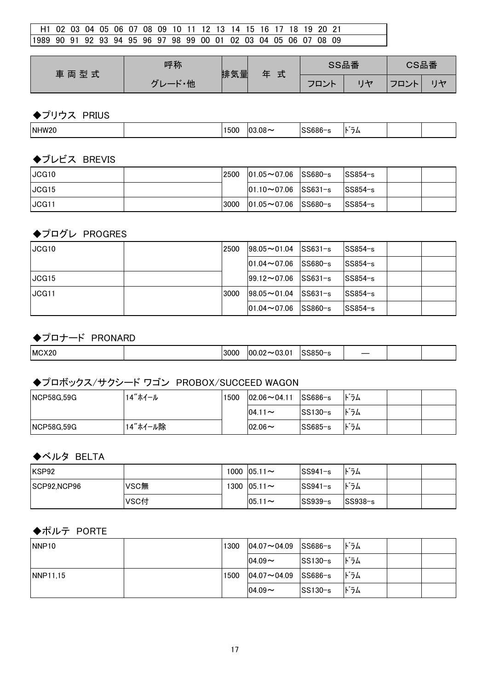| H1 02 03 04 05 06 07 08 09 10 11 12 13 14 15 16 17 18 19 20 21    |  |  |  |  |  |  |  |  |  |  |  |
|-------------------------------------------------------------------|--|--|--|--|--|--|--|--|--|--|--|
| 11989 90 91 92 93 94 95 96 97 98 99 00 01 02 03 04 05 06 07 08 09 |  |  |  |  |  |  |  |  |  |  |  |

| 車両型式 | 呼称                  | 排気量 | 式 | SS品番      | CS品番     |  |  |
|------|---------------------|-----|---|-----------|----------|--|--|
|      | - 他<br>$\mathbf{r}$ |     |   | フロン<br>ノト | ¬¬<br>ハト |  |  |

◆プリウス PRIUS

|  | NHW <sub>20</sub> |  | ---<br>JUC | ΩC<br>.Uč<br>ւ . | והר | .<br>-<br>د .<br>$\overline{\phantom{0}}$ |  |  |
|--|-------------------|--|------------|------------------|-----|-------------------------------------------|--|--|
|--|-------------------|--|------------|------------------|-----|-------------------------------------------|--|--|

#### ◆ブレビス BREVIS

| <b>JCG10</b> | 2500 | $ 01.05 \sim 07.06$ SS680-s       | $\textcolor{blue}{\textsf{ISS854--s}}$ |  |
|--------------|------|-----------------------------------|----------------------------------------|--|
| JCG15        |      | $ 01.10 \sim 07.06$ $ SS631 - s $ | $ SS854-s $                            |  |
| <b>JCG11</b> | 3000 | $ 01.05 \sim 07.06$ SS680-s       | $\textcolor{blue}{\textsf{ISS854--s}}$ |  |

## ◆プログレ PROGRES

| <b>JCG10</b> | 2500 | $198.05 - 01.04$            | $ SS631-s $ | $SS854-s$ |  |
|--------------|------|-----------------------------|-------------|-----------|--|
|              |      | $101.04\!\thicksim\!07.06$  | $SS680-s$   | $SS854-s$ |  |
| JCG15        |      | $ 99.12\!\thicksim\!07.06 $ | $ SS631-s $ | lSS854−s  |  |
| <b>JCG11</b> | 3000 | $ 98.05 \sim 01.04$         | $ SS631-s $ | $SS854-s$ |  |
|              |      | $ 01.04\sim07.06 $          | $SS860-s$   | lSS854−s  |  |

## ◆プロナード PRONARD

| MCX20 | 3000 | .002<br>n n<br>oc<br><u>n-</u><br>′∪j.u<br>.vz | ,,,,,<br>പ്പാറ- | $\sim$ |  |  |
|-------|------|------------------------------------------------|-----------------|--------|--|--|
|-------|------|------------------------------------------------|-----------------|--------|--|--|

#### ◆プロボックス/サクシード ワゴン PROBOX/SUCCEED WAGON

| <b>NCP58G.59G</b> | 14"ホイール  | 1500 | $ 02.06 \sim 04.11$ | $ SS686-s $ | ドラム |  |
|-------------------|----------|------|---------------------|-------------|-----|--|
|                   |          |      | $104.11 \sim$       | SS130−s     | ドラム |  |
| <b>NCP58G.59G</b> | 14"ホイール除 |      | $ 02.06 \sim$       | SS685−s     | ドラム |  |

## ◆ベルタ BELTA

| IKSP92      |      | 1000 $ 05.11\sim$  | SS941-s   | ドラム         |  |
|-------------|------|--------------------|-----------|-------------|--|
| SCP92.NCP96 | VSC無 | 1300 $ 05.11 \sim$ | $SS941-s$ | ドラム         |  |
|             | VSC付 | $ 05.11 -$         | SS939-s   | $ SS938-s $ |  |

## ◆ポルテ PORTE

| NNP <sub>10</sub> | 1300 | $ 04.07 \sim 04.09$ SS686-s |             | ドラム |  |
|-------------------|------|-----------------------------|-------------|-----|--|
|                   |      | $04.09 -$                   | $ SS130-s $ | ドラム |  |
| <b>INNP11.15</b>  | 1500 | $ 04.07\sim04.09 $          | SS686−s     | ドラム |  |
|                   |      | $04.09 -$                   | SS130−s     | ドラム |  |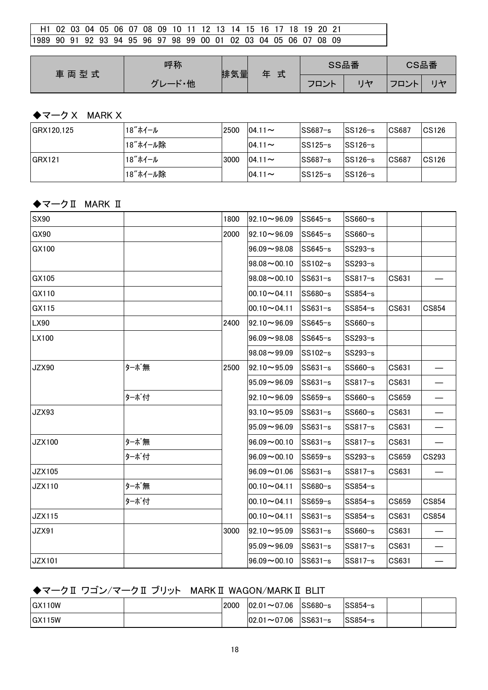| <sup>1</sup> H1 02 03 04 05 06 07 08 09 10 11 12 13 14 15 16 17 18 19 20 21 |  |  |  |  |  |  |  |  |  |  |  |
|-----------------------------------------------------------------------------|--|--|--|--|--|--|--|--|--|--|--|
| 11989 90 91 92 93 94 95 96 97 98 99 00 01 02 03 04 05 06 07 08 09           |  |  |  |  |  |  |  |  |  |  |  |

| 車両型式 | 呼称                  | 排気量 | 式 | SS品番 | CS品番             |  |  |
|------|---------------------|-----|---|------|------------------|--|--|
|      | $\mathbf{r}$<br>- 他 |     |   | フロント | $\neg \neg$<br>ᄼ |  |  |

# ◆マーク X MARK X

| GRX120.125 | 18"ホイール  | 2500 | $04.11 -$  | $SS687-s$ | $SS126-s$   | CS687 | CS126        |
|------------|----------|------|------------|-----------|-------------|-------|--------------|
|            | 18"ホイール除 |      | $104.11 -$ | $SS125-s$ | $ SS126-s $ |       |              |
| IGRX121    | 18"ホイール  | 3000 | $04.11 -$  | $SS687-s$ | $SS126-s$   | CS687 | <b>CS126</b> |
|            | 18"ホイール除 |      | $104.11 -$ | $SS125-s$ | $SS126-s$   |       |              |

# ◆マークⅡ MARK Ⅱ

| SX90          |      | 1800 | $92.10 - 96.09$ | $SS645-s$ | SS660-s |       |       |
|---------------|------|------|-----------------|-----------|---------|-------|-------|
| GX90          |      | 2000 | $92.10 - 96.09$ | SS645-s   | SS660-s |       |       |
| GX100         |      |      | $96.09 - 98.08$ | SS645-s   | SS293-s |       |       |
|               |      |      | $98.08 - 00.10$ | SS102-s   | SS293-s |       |       |
| GX105         |      |      | $98.08 - 00.10$ | $SS631-s$ | SS817-s | CS631 |       |
| GX110         |      |      | $00.10 - 04.11$ | SS680-s   | SS854-s |       |       |
| GX115         |      |      | $00.10 - 04.11$ | $SS631-s$ | SS854-s | CS631 | CS854 |
| LX90          |      | 2400 | $92.10 - 96.09$ | SS645-s   | SS660-s |       |       |
| LX100         |      |      | $96.09 - 98.08$ | $SS645-s$ | SS293-s |       |       |
|               |      |      | $98.08 - 99.09$ | SS102-s   | SS293-s |       |       |
| <b>JZX90</b>  | ターボ無 | 2500 | $92.10 - 95.09$ | $SS631-s$ | SS660-s | CS631 |       |
|               |      |      | $95.09 - 96.09$ | SS631-s   | SS817-s | CS631 |       |
|               | ターボ付 |      | $92.10 - 96.09$ | SS659-s   | SS660-s | CS659 |       |
| <b>JZX93</b>  |      |      | $93.10 - 95.09$ | $SS631-s$ | SS660-s | CS631 |       |
|               |      |      | $95.09 - 96.09$ | $SS631-s$ | SS817-s | CS631 |       |
| <b>JZX100</b> | ターボ無 |      | $96.09 - 00.10$ | SS631-s   | SS817-s | CS631 |       |
|               | ターボ付 |      | $96.09 - 00.10$ | SS659-s   | SS293-s | CS659 | CS293 |
| <b>JZX105</b> |      |      | $96.09 - 01.06$ | $SS631-s$ | SS817-s | CS631 |       |
| JZX110        | ターボ無 |      | $00.10 - 04.11$ | SS680-s   | SS854-s |       |       |
|               | ターボ付 |      | $00.10 - 04.11$ | SS659-s   | SS854-s | CS659 | CS854 |
| <b>JZX115</b> |      |      | $00.10 - 04.11$ | $SS631-s$ | SS854-s | CS631 | CS854 |
| <b>JZX91</b>  |      | 3000 | $92.10 - 95.09$ | $SS631-s$ | SS660-s | CS631 |       |
|               |      |      | $95.09 - 96.09$ | $SS631-s$ | SS817-s | CS631 |       |
| <b>JZX101</b> |      |      | $96.09 - 00.10$ | $SS631-s$ | SS817-s | CS631 |       |

# ◆マークⅡ ワゴン/マークⅡ ブリット MARKⅡ WAGON/MARKⅡ BLIT

| <b>IGX110W</b>       | 2000 | $ 02.01\sim$ 07.06  | SS680−s | <sup>∣</sup> SS854−s |  |
|----------------------|------|---------------------|---------|----------------------|--|
| $\overline{G}$ X115W |      | $ 02.01 \sim 07.06$ | SS631−s | <sup>∣</sup> SS854−s |  |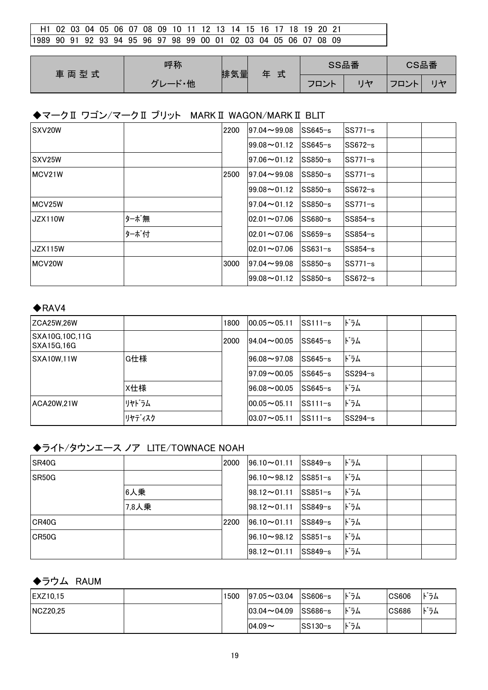| l H1 02 03 04 05 06 07 08 09 10 11 12 13 14 15 16 17 18 19 20 21 |  |  |  |  |  |  |  |  |  |  |  |
|------------------------------------------------------------------|--|--|--|--|--|--|--|--|--|--|--|
| 1989 90 91 92 93 94 95 96 97 98 99 00 01 02 03 04 05 06 07 08 09 |  |  |  |  |  |  |  |  |  |  |  |

| 車両型式 | 呼称                  | 排気量 | 式<br>玍 | SS品番      | CS品番              |  |
|------|---------------------|-----|--------|-----------|-------------------|--|
|      | $\mathbf{r}$<br>- 他 |     |        | フロン<br>ノト | $\neg \neg$<br>᠈ト |  |

#### ◆マークⅡ ワゴン/マークⅡ ブリット MARKⅡ WAGON/MARKⅡ BLIT

| SXV20W              |      | 2200 | $97.04 \rightarrow 99.08$ | SS645−s     | SS771-s  |  |
|---------------------|------|------|---------------------------|-------------|----------|--|
|                     |      |      | $99.08 \sim 01.12$        | $ SS645-s $ | lSS672−s |  |
| SXV <sub>25</sub> W |      |      | $97.06 \rightarrow 01.12$ | SS850-s     | SS771−s  |  |
| <b>IMCV21W</b>      |      | 2500 | $97.04 \rightarrow 99.08$ | lSS850−s    | SS771−s  |  |
|                     |      |      | $99.08 \rightarrow 01.12$ | lSS850−s    | SS672-s  |  |
| MCV25W              |      |      | $97.04 \rightarrow 01.12$ | SS850-s     | SS771−s  |  |
| JZX110W             | ターボ無 |      | $ 02.01\sim$ 07.06        | SS680-s     | SS854-s  |  |
|                     | ターボ付 |      | $02.01 - 07.06$           | SS659-s     | SS854−s  |  |
| UZX115W             |      |      | $ 02.01\sim$ 07.06        | lSS631−s    | SS854−s  |  |
| <b>IMCV20W</b>      |      | 3000 | $97.04 \rightarrow 99.08$ | lSS850−s    | SS771-s  |  |
|                     |      |      | $99.08 \rightarrow 01.12$ | SS850-s     | lSS672−s |  |

#### $\bigstar$ RAV4

| <b>ZCA25W.26W</b>                    |        | 1800 | $00.05 - 05.11$     | SS111-s   | ドラム     |  |
|--------------------------------------|--------|------|---------------------|-----------|---------|--|
| ISXA10G.10C.11G<br><b>SXA15G.16G</b> |        | 2000 | $194.04 \sim 00.05$ | lSS645−s  | ドラム     |  |
| SXA10W.11W                           | G仕様    |      | $96.08 - 97.08$     | lSS645−s  | ドラム     |  |
|                                      |        |      | $ 97.09\sim00.05 $  | $SS645-s$ | SS294-s |  |
|                                      | X仕様    |      | $96.08 - 00.05$     | $SS645-s$ | ドラム     |  |
| <b>ACA20W.21W</b>                    | リヤドラム  |      | $00.05 - 05.11$     | $SS111-s$ | ドラム     |  |
|                                      | リヤディスク |      | $ 03.07 \sim 05.11$ | $SS111-s$ | SS294-s |  |

## ◆ライト/タウンエース ノア LITE/TOWNACE NOAH

| <b>ISR40G</b> |       | 2000 | $ 96.10 \sim 01.11$        | $ SS849-s $                        | ドラム |
|---------------|-------|------|----------------------------|------------------------------------|-----|
| SR50G         |       |      | $ 96.10\sim98.12$          | $ SS851-s $                        | ドラム |
|               | 6人乗   |      | $198.12 \rightarrow 01.11$ | $ SS851-s $                        | ドラム |
|               | 7,8人乗 |      | $ 98.12 \rightarrow 01.11$ | $ SS849-s $                        | ドラム |
| CR40G         |       | 2200 | $196.10 \rightarrow 01.11$ | $ SS849-s $                        | ドラム |
| CR50G         |       |      | $196.10 \rightarrow 98.12$ | $\textcolor{blue}{\text{SS851-s}}$ | ドラム |
|               |       |      | $198.12 \rightarrow 01.11$ | $ SS849-s $                        | ドラム |

#### ◆ラウム RAUM

| <b>IEXZ10.15</b> | 1500 | $ 97.05 \sim 03.04$ | $ SS606-s $ | ドラム | <b>CS606</b> | ドラム |
|------------------|------|---------------------|-------------|-----|--------------|-----|
| NCZ20.25         |      | $ 03.04 \sim 04.09$ | $ SS686-s $ | ドラム | <b>CS686</b> | ドラム |
|                  |      | $104.09 -$          | lSS130−s    | ドラム |              |     |